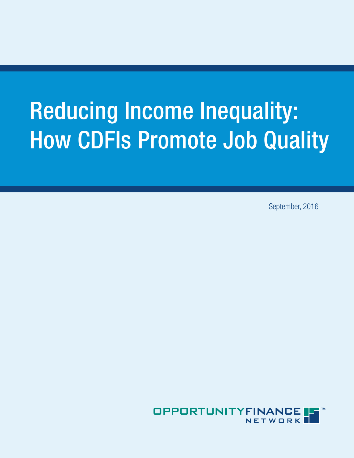# Reducing Income Inequality: How CDFIs Promote Job Quality

September, 2016

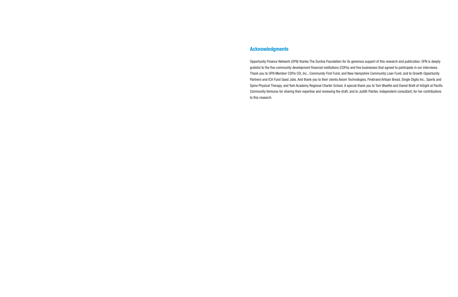### Acknowledgments

Opportunity Finance Network (OFN) thanks The Surdna Foundation for its generous support of this research and publication. OFN is deeply grateful to the five community development financial institutions (CDFIs) and five businesses that agreed to participate in our interviews. Thank you to OFN Member CDFIs CEI, Inc., Community First Fund, and New Hampshire Community Loan Fund, and to Growth Opportunity Partners and ICA Fund Good Jobs. And thank you to their clients Axiom Technologies, Firebrand Artisan Bread, Single Digits Inc., Sports and Spine Physical Therapy, and York Academy Regional Charter School. A special thank you to Tom Woelfel and Daniel Brett of InSight at Pacific Community Ventures for sharing their expertise and reviewing the draft, and to Judith Painter, independent consultant, for her contributions to this research.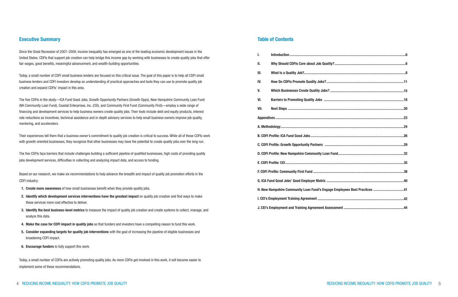#### Table of Contents

| I.   |                                                                           |  |  |  |  |
|------|---------------------------------------------------------------------------|--|--|--|--|
| II.  |                                                                           |  |  |  |  |
| III. |                                                                           |  |  |  |  |
| IV.  |                                                                           |  |  |  |  |
| V.   |                                                                           |  |  |  |  |
| VI.  |                                                                           |  |  |  |  |
| VII. |                                                                           |  |  |  |  |
|      |                                                                           |  |  |  |  |
|      |                                                                           |  |  |  |  |
|      |                                                                           |  |  |  |  |
|      |                                                                           |  |  |  |  |
|      |                                                                           |  |  |  |  |
|      |                                                                           |  |  |  |  |
|      |                                                                           |  |  |  |  |
|      |                                                                           |  |  |  |  |
|      | H. New Hampshire Community Loan Fund's Engage Employees Best Practices 41 |  |  |  |  |
|      |                                                                           |  |  |  |  |
|      |                                                                           |  |  |  |  |

#### Executive Summary

- 1. Create more awareness of how small businesses benefit when they provide quality jobs.
- 2. Identify which development services interventions have the greatest impact on quality job creation and find ways to make these services more cost effective to deliver.
- 3. Identify the best business-level metrics to measure the impact of quality job creation and create systems to collect, manage, and analyze this data.
- 4. Make the case for CDFI impact in quality jobs so that funders and investors have a compelling reason to fund this work.
- 5. Consider expanding targets for quality job interventions with the goal of increasing the pipeline of eligible businesses and broadening CDFI impact.
- 6. Encourage funders to fully support this work.

Since the Great Recession of 2007–2009, income inequality has emerged as one of the leading economic development issues in the United States. CDFIs that support job creation can help bridge this income gap by working with businesses to create quality jobs that offer fair wages, good benefits, meaningful advancement, and wealth-building opportunities.

Today, a small number of CDFI small business lenders are focused on this critical issue. The goal of this paper is to help all CDFI small business lenders and CDFI investors develop an understanding of practical approaches and tools they can use to promote quality job creation and expand CDFIs' impact in this area.

The five CDFIs in the study—ICA Fund Good Jobs, Growth Opportunity Partners (Growth Opps), New Hampshire Community Loan Fund (NH Community Loan Fund), Coastal Enterprises, Inc. (CEI), and Community First Fund (Community First)—employ a wide range of financing and development services to help business owners create quality jobs. Their tools include debt and equity products, interest rate reductions as incentives, technical assistance and in-depth advisory services to help small business owners improve job quality, mentoring, and accelerators.

Their experiences tell them that a business owner's commitment to quality job creation is critical to success. While all of these CDFIs work with growth-oriented businesses, they recognize that other businesses may have the potential to create quality jobs over the long run.

The five CDFIs face barriers that include challenges building a sufficient pipeline of qualified businesses, high costs of providing quality jobs development services, difficulties in collecting and analyzing impact data, and access to funding.

Based on our research, we make six recommendations to help advance the breadth and impact of quality job promotion efforts in the CDFI industry:

Today, a small number of CDFIs are actively promoting quality jobs. As more CDFIs get involved in this work, it will become easier to implement some of these recommendations.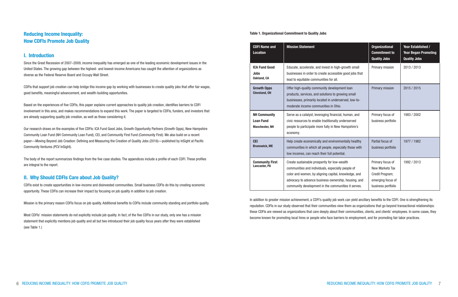#### Table 1. Organizational Commitment to Quality Jobs

| <b>CDFI Name and</b><br><b>Location</b>                          | <b>Mission Statement</b>                                                                                                                                                                                                                                                 | <b>Organizational</b><br><b>Commitment to</b><br><b>Quality Jobs</b>                              | Year Established /<br><b>Year Began Promoting</b><br><b>Quality Jobs</b> |
|------------------------------------------------------------------|--------------------------------------------------------------------------------------------------------------------------------------------------------------------------------------------------------------------------------------------------------------------------|---------------------------------------------------------------------------------------------------|--------------------------------------------------------------------------|
| <b>ICA Fund Good</b><br><b>Jobs</b><br><b>Oakland, CA</b>        | Educate, accelerate, and invest in high-growth small<br>businesses in order to create accessible good jobs that<br>lead to equitable communities for all.                                                                                                                | Primary mission                                                                                   | 2013 / 2013                                                              |
| <b>Growth Opps</b><br><b>Cleveland, OH</b>                       | Offer high-quality community development loan<br>products, services, and solutions to growing small<br>businesses, primarily located in underserved, low-to-<br>moderate income communities in Ohio.                                                                     | Primary mission                                                                                   | 2015 / 2015                                                              |
| <b>NH Community</b><br><b>Loan Fund</b><br><b>Manchester, NH</b> | Serve as a catalyst, leveraging financial, human, and<br>civic resources to enable traditionally underserved<br>people to participate more fully in New Hampshire's<br>economy.                                                                                          | Primary focus of<br>business portfolio                                                            | 1983 / 2002                                                              |
| <b>CEI</b><br><b>Brunswick, ME</b>                               | Help create economically and environmentally healthy<br>communities in which all people, especially those with<br>low incomes, can reach their full potential.                                                                                                           | Partial focus of<br>business portfolio                                                            | 1977 / 1982                                                              |
| <b>Community First</b><br>Lancaster, PA                          | Create sustainable prosperity for low-wealth<br>communities and individuals, especially people of<br>color and women, by aligning capital, knowledge, and<br>advocacy to advance business ownership, housing, and<br>community development in the communities it serves. | Primary focus of<br>New Markets Tax<br>Credit Program;<br>emerging focus of<br>business portfolio | 1992 / 2013                                                              |

In addition to greater mission achievement, a CDFI's quality job work can yield ancillary benefits to the CDFI. One is strengthening its reputation. CDFIs in our study observed that their communities view them as organizations that go beyond transactional relationships: these CDFIs are viewed as organizations that care deeply about their communities, clients, and clients' employees. In some cases, they become known for promoting local hires or people who face barriers to employment, and for promoting fair labor practices.

### Reducing Income Inequality: How CDFIs Promote Job Quality

### I. Introduction

Since the Great Recession of 2007–2009, income inequality has emerged as one of the leading economic development issues in the United States. The growing gap between the highest- and lowest-income Americans has caught the attention of organizations as diverse as the Federal Reserve Board and Occupy Wall Street.

CDFIs that support job creation can help bridge this income gap by working with businesses to create quality jobs that offer fair wages, good benefits, meaningful advancement, and wealth-building opportunities.

Based on the experiences of five CDFIs, this paper explains current approaches to quality job creation, identifies barriers to CDFI involvement in this area, and makes recommendations to expand this work. The paper is targeted to CDFIs, funders, and investors that are already supporting quality job creation, as well as those considering it.

Our research draws on the examples of five CDFIs: ICA Fund Good Jobs, Growth Opportunity Partners (Growth Opps), New Hampshire Community Loan Fund (NH Community Loan Fund), CEI, and Community First Fund (Community First). We also build on a recent paper—Moving Beyond Job Creation: Defining and Measuring the Creation of Quality Jobs (2016)—published by InSight at Pacific Community Ventures (PCV InSight).

The body of the report summarizes findings from the five case studies. The appendices include a profile of each CDFI. These profiles are integral to the report.

### II. Why Should CDFIs Care about Job Quality?

CDFIs exist to create opportunities in low-income and disinvested communities. Small business CDFIs do this by creating economic opportunity. These CDFIs can increase their impact by focusing on job quality in addition to job creation.

Mission is the primary reason CDFIs focus on job quality. Additional benefits to CDFIs include community standing and portfolio quality.

Most CDFIs' mission statements do not explicitly include job quality. In fact, of the five CDFIs in our study, only one has a mission statement that explicitly mentions job quality and all but two introduced their job quality focus years after they were established (see Table 1.)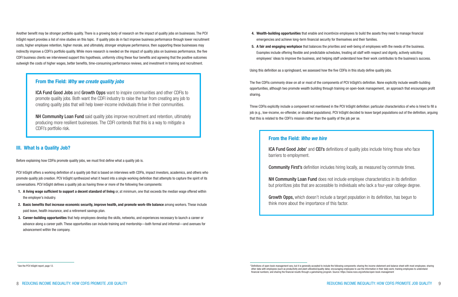- 4. Wealth-building opportunities that enable and incentivize employees to build the assets they need to manage financial emergencies and achieve long-term financial security for themselves and their families.
- 5. A fair and engaging workplace that balances the priorities and well-being of employees with the needs of the business. Examples include offering flexible and predictable schedules, treating all staff with respect and dignity, actively soliciting employees' ideas to improve the business, and helping staff understand how their work contributes to the business's success.

Using this definition as a springboard, we assessed how the five CDFIs in this study define quality jobs.

sharing.

- The five CDFIs commonly draw on all or most of the components of PCV InSight's definition. None explicitly include wealth-building opportunities, although two promote wealth building through training on open-book management, an approach that encourages profit
- Three CDFIs explicitly include a component not mentioned in the PCV InSight definition: particular characteristics of who is hired to fill a job (e.g., low-income, ex-offender, or disabled populations). PCV InSight decided to leave target populations out of the definition, arguing
	- **ICA Fund Good Jobs'** and **CEI's** definitions of quality jobs include hiring those who face
	- Community First's definition includes hiring locally, as measured by commute times.
	- NH Community Loan Fund does not include employee characteristics in its definition but prioritizes jobs that are accessible to individuals who lack a four-year college degree.
	- Growth Opps, which doesn't include a target population in its definition, has begun to

that this is related to the CDFI's mission rather than the quality of the job per se.

#### From the Field: *Who we hire*

barriers to employment.

think more about the importance of this factor.

- 1. A living wage sufficient to support a decent standard of living or, at minimum, one that exceeds the median wage offered within the employer's industry.
- 2. Basic benefits that increase economic security, improve health, and promote work-life balance among workers. These include paid leave, health insurance, and a retirement savings plan.
- 3. Career-building opportunities that help employees develop the skills, networks, and experiences necessary to launch a career or advance along a career path. These opportunities can include training and mentorship—both formal and informal—and avenues for advancement within the company.

**NH Community Loan Fund** said quality jobs improve recruitment and retention, ultimately producing more resilient businesses. The CDFI contends that this is a way to mitigate a CDFI's portfolio risk.

Another benefit may be stronger portfolio quality. There is a growing body of research on the impact of quality jobs on businesses. The PCV InSight report provides a list of nine studies on this topic. If quality jobs do in fact improve business performance through lower recruitment costs, higher employee retention, higher morale, and ultimately, stronger employee performance, then supporting these businesses may indirectly improve a CDFI's portfolio quality. While more research is needed on the impact of quality jobs on business performance, the five CDFI business clients we interviewed support this hypothesis, uniformly citing these four benefits and agreeing that the positive outcomes outweigh the costs of higher wages, better benefits, time-consuming performance reviews, and investment in training and recruitment.

### III. What Is a Quality Job?

Before explaining how CDFIs promote quality jobs, we must first define what a quality job is.

PCV InSight offers a working definition of a quality job that is based on interviews with CDFIs, impact investors, academics, and others who promote quality job creation. PCV InSight synthesized what it heard into a single working definition that attempts to capture the spirit of its conversations. PCV InSight defines a quality job as having three or more of the following five components:

### From the Field: *Why we create quality jobs*

ICA Fund Good Jobs and Growth Opps want to inspire communities and other CDFIs to promote quality jobs. Both want the CDFI industry to raise the bar from creating any job to creating quality jobs that will help lower-income individuals thrive in their communities.

<sup>&</sup>lt;sup>2</sup> Definitions of open-book management vary, but it is generally accepted to include the following components: sharing the income statement and balance sheet with most employees; sharing other data with employees (such as productivity and plant utilization/quality data); encouraging employees to use the information in their daily work; training employees to understand financial numbers; and sharing the financial results through a gainsharing program. Source: https://www.nceo.org/articles/open-book-management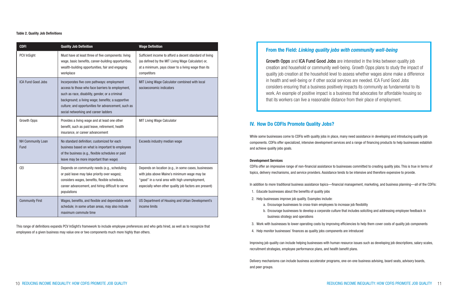### IV. How Do CDFIs Promote Quality Jobs?

While some businesses come to CDFIs with quality jobs in place, many need assistance in developing and introducing quality job components. CDFIs offer specialized, intensive development services and a range of financing products to help businesses establish and achieve quality jobs goals.

#### Development Services

CDFIs offer an impressive range of non-financial assistance to businesses committed to creating quality jobs. This is true in terms of topics, delivery mechanisms, and service providers. Assistance tends to be intensive and therefore expensive to provide.

In addition to more traditional business assistance topics—financial management, marketing, and business planning—all of the CDFIs:

b. Encourage businesses to develop a corporate culture that includes soliciting and addressing employee feedback in

- 1. Educate businesses about the benefits of quality jobs
- 2. Help businesses improve job quality. Examples include:
	- a. Encourage businesses to cross-train employees to increase job flexibility
	- business strategy and operations
- 
- 4. Help monitor businesses' finances as quality jobs components are introduced

3. Work with businesses to lower operating costs by improving efficiencies to help them cover costs of quality job components

Improving job quality can include helping businesses with human resource issues such as developing job descriptions, salary scales, recruitment strategies, employee performance plans, and health benefit plans.

Delivery mechanisms can include business accelerator programs, one-on-one business advising, board seats, advisory boards, and peer groups.

### From the Field: *Linking quality jobs with community well-being*

Growth Opps and ICA Fund Good Jobs are interested in the links between quality job creation and household or community well-being. Growth Opps plans to study the impact of quality job creation at the household level to assess whether wages alone make a difference in health and well-being or if other social services are needed. ICA Fund Good Jobs considers ensuring that a business positively impacts its community as fundamental to its work. An example of positive impact is a business that advocates for affordable housing so that its workers can live a reasonable distance from their place of employment.

#### Table 2. Quality Job Definitions

| <b>CDFI</b>               | <b>Quality Job Definition</b>                                                                                                                                                                                                                                                                          | <b>Wage Definition</b>                                                                                                                                                                                          |
|---------------------------|--------------------------------------------------------------------------------------------------------------------------------------------------------------------------------------------------------------------------------------------------------------------------------------------------------|-----------------------------------------------------------------------------------------------------------------------------------------------------------------------------------------------------------------|
| PCV InSight               | Must have at least three of five components: living<br>wage, basic benefits, career-building opportunities,<br>wealth-building opportunities, fair and engaging<br>workplace                                                                                                                           | Sufficient income to afford a decent standard of living<br>(as defined by the MIT Living Wage Calculator) or,<br>at a minimum, pays closer to a living wage than its<br>competitors                             |
| <b>ICA Fund Good Jobs</b> | Incorporates five core pathways: employment<br>access to those who face barriers to employment,<br>such as race, disability, gender, or a criminal<br>background; a living wage; benefits; a supportive<br>culture; and opportunities for advancement, such as<br>social networking and career ladders | MIT Living Wage Calculator combined with local<br>socioeconomic indicators                                                                                                                                      |
| Growth Opps               | Provides a living wage and at least one other<br>benefit, such as paid leave, retirement, health<br>insurance, or career advancement                                                                                                                                                                   | <b>MIT Living Wage Calculator</b>                                                                                                                                                                               |
| NH Community Loan<br>Fund | No standard definition; customized for each<br>business based on what is important to employees<br>of the business (e.g., flexible schedules or paid<br>leave may be more important than wage)                                                                                                         | Exceeds industry median wage                                                                                                                                                                                    |
| <b>CEI</b>                | Depends on community needs (e.g., scheduling<br>or paid leave may take priority over wages);<br>considers wages, benefits, flexible schedules,<br>career advancement, and hiring difficult to serve<br>populations                                                                                     | Depends on location (e.g., in some cases, businesses<br>with jobs above Maine's minimum wage may be<br>"good" in a rural area with high unemployment,<br>especially when other quality job factors are present) |
| <b>Community First</b>    | Wages, benefits, and flexible and dependable work<br>schedule; in some urban areas, may also include<br>maximum commute time                                                                                                                                                                           | US Department of Housing and Urban Development's<br>income limits                                                                                                                                               |

This range of definitions expands PCV InSight's framework to include employee preferences and who gets hired, as well as to recognize that employees of a given business may value one or two components much more highly than others.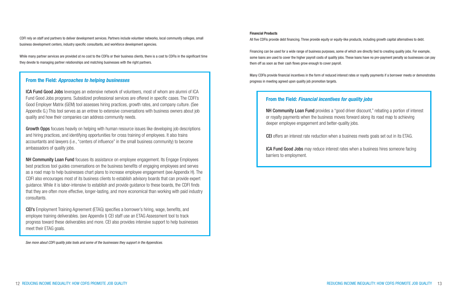#### Financial Products

All five CDFIs provide debt financing. Three provide equity or equity-like products, including growth capital alternatives to debt.

Financing can be used for a wide range of business purposes, some of which are directly tied to creating quality jobs. For example, some loans are used to cover the higher payroll costs of quality jobs. These loans have no pre-payment penalty so businesses can pay them off as soon as their cash flows grow enough to cover payroll.

Many CDFIs provide financial incentives in the form of reduced interest rates or royalty payments if a borrower meets or demonstrates progress in meeting agreed upon quality job promotion targets.

CDFI rely on staff and partners to deliver development services. Partners include volunteer networks, local community colleges, small business development centers, industry specific consultants, and workforce development agencies.

Growth Opps focuses heavily on helping with human resource issues like developing job descriptions and hiring practices, and identifying opportunities for cross training of employees. It also trains accountants and lawyers (i.e., "centers of influence" in the small business community) to become ambassadors of quality jobs.

While many partner services are provided at no cost to the CDFIs or their business clients, there is a cost to CDFIs in the significant time they devote to managing partner relationships and matching businesses with the right partners.

 *See more about CDFI quality jobs tools and some of the businesses they support in the Appendices.*

### From the Field: *Approaches to helping businesses*

ICA Fund Good Jobs leverages an extensive network of volunteers, most of whom are alumni of ICA Fund Good Jobs programs. Subsidized professional services are offered in specific cases. The CDFI's Good Employer Matrix (GEM) tool assesses hiring practices, growth rates, and company culture. (See Appendix G.) This tool serves as an entree to extensive conversations with business owners about job quality and how their companies can address community needs.

NH Community Loan Fund provides a "good driver discount," rebating a portion of interest or royalty payments when the business moves forward along its road map to achieving deeper employee engagement and better-quality jobs.

NH Community Loan Fund focuses its assistance on employee engagement. Its Engage Employees best practices tool guides conversations on the business benefits of engaging employees and serves as a road map to help businesses chart plans to increase employee engagement (see Appendix H). The CDFI also encourages most of its business clients to establish advisory boards that can provide expert guidance. While it is labor-intensive to establish and provide guidance to these boards, the CDFI finds that they are often more effective, longer-lasting, and more economical than working with paid industry consultants.

CEI's Employment Training Agreement (ETAG) specifies a borrower's hiring, wage, benefits, and employee training deliverables. (see Appendix I) CEI staff use an ETAG Assessment tool to track progress toward these deliverables and more. CEI also provides intensive support to help businesses meet their ETAG goals.

### From the Field: *Financial incentives for quality jobs*

CEI offers an interest rate reduction when a business meets goals set out in its ETAG.

ICA Fund Good Jobs may reduce interest rates when a business hires someone facing barriers to employment.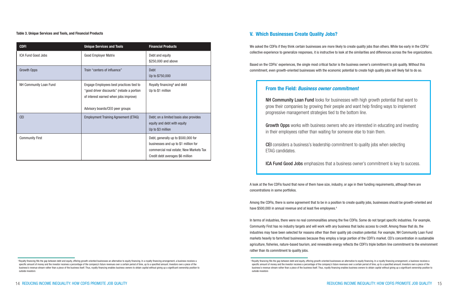#### 14 REDUCING INCOME INEQUALITY: HOW CDFIS PROMOTE JOB QUALITY REDUCING INCOME INEQUALITY: HOW CDFIS PROMOTE JOB QUALITY 15

### V. Which Businesses Create Quality Jobs?

We asked the CDFIs if they think certain businesses are more likely to create quality jobs than others. While too early in the CDFIs' collective experience to generalize responses, it is instructive to look at the similarities and differences across the five organizations.

Among the CDFIs, there is some agreement that to be in a position to create quality jobs, businesses should be growth-oriented and have \$500,000 in annual revenue and at least five employees.<sup>4</sup>

Based on the CDFIs' experiences, the single most critical factor is the business owner's commitment to job quality. Without this commitment, even growth-oriented businesses with the economic potential to create high quality jobs will likely fail to do so.

A look at the five CDFIs found that none of them have size, industry, or age in their funding requirements, although there are concentrations in some portfolios.

In terms of industries, there were no real commonalities among the five CDFIs. Some do not target specific industries. For example, Community First has no industry targets and will work with any business that lacks access to credit. Among those that do, the industries may have been selected for reasons other than their quality job creation potential. For example, NH Community Loan Fund markets heavily to farm/food businesses because they employ a large portion of the CDFI's market. CEI's concentration in sustainable agriculture, fisheries, nature-based tourism, and renewable energy reflects the CDFI's triple bottom line commitment to the environment rather than its commitment to quality jobs.

Table 3. Unique Services and Tools, and Financial Products

<sup>3</sup> Royalty financing fills the gap between debt and equity, offering growth-oriented businesses an alternative to equity financing. In a royalty financing arrangement, a business receives a specific amount of money and the investor receives a percentage of the company's future revenues over a certain period of time, up to a specified amount. Investors own a piece of the business's revenue stream rather than a piece of the business itself. Thus, royalty financing enables business owners to obtain capital without giving up a significant ownership position to

| <b>CDFI</b>            | <b>Unique Services and Tools</b>                                                                                                                                 | <b>Financial Products</b>                                                                                                                                  |
|------------------------|------------------------------------------------------------------------------------------------------------------------------------------------------------------|------------------------------------------------------------------------------------------------------------------------------------------------------------|
| ICA Fund Good Jobs     | <b>Good Employer Matrix</b>                                                                                                                                      | Debt and equity<br>\$250,000 and above                                                                                                                     |
| <b>Growth Opps</b>     | Train "centers of influence"                                                                                                                                     | <b>Debt</b><br>Up to \$750,000                                                                                                                             |
| NH Community Loan Fund | Engage Employees best practices tied to<br>"good driver discounts" (rebate a portion<br>of interest earned when jobs improve)<br>Advisory boards/CEO peer groups | Royalty financing <sup>3</sup> and debt<br>Up to \$1 million                                                                                               |
| <b>CEI</b>             | <b>Employment Training Agreement (ETAG)</b>                                                                                                                      | Debt; on a limited basis also provides<br>equity and debt with equity<br>Up to \$3 million                                                                 |
| <b>Community First</b> |                                                                                                                                                                  | Debt, generally up to \$500,000 for<br>businesses and up to \$1 million for<br>commercial real estate; New Markets Tax<br>Credit debt averages \$6 million |

### From the Field: *Business owner commitment*

NH Community Loan Fund looks for businesses with high growth potential that want to grow their companies by growing their people and want help finding ways to implement progressive management strategies tied to the bottom line.

Growth Opps works with business owners who are interested in educating and investing in their employees rather than waiting for someone else to train them.

CEI considers a business's leadership commitment to quality jobs when selecting ETAG candidates.

ICA Fund Good Jobs emphasizes that a business owner's commitment is key to success.

<sup>&</sup>lt;sup>3</sup> Royalty financing fills the gap between debt and equity, offering growth-oriented businesses an alternative to equity financing. In a royalty financing arrangement, a business receives a specific amount of money and the investor receives a percentage of the company's future revenues over a certain period of time, up to a specified amount. Investors own a piece of the business's revenue stream rather than a piece of the business itself. Thus, royalty financing enables business owners to obtain capital without giving up a significant ownership position to outside investors

outside investors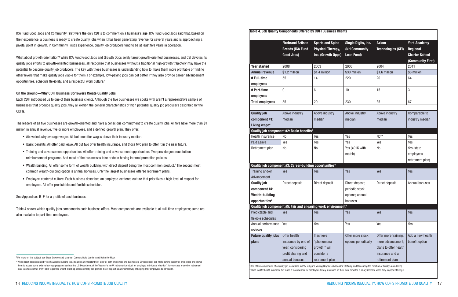| <b>Table 4. Job Quality Components Offered by CDFI Business Clients</b>                              |                       |  |  |  |  |
|------------------------------------------------------------------------------------------------------|-----------------------|--|--|--|--|
|                                                                                                      |                       |  |  |  |  |
| <b>Firebrand Artisan</b><br><b>Axiom</b><br><b>Sports and Spine</b><br>Single Digits, Inc.           | <b>York Academy</b>   |  |  |  |  |
| <b>Breads (ICA Fund</b><br>(NH Community<br><b>Physical Therapy,</b><br><b>Technologies (CEI)</b>    | <b>Regional</b>       |  |  |  |  |
| Good Jobs)<br>Inc. (Growth Opps)<br><b>Loan Fund)</b>                                                | <b>Charter School</b> |  |  |  |  |
|                                                                                                      | (Community First)     |  |  |  |  |
| 2008<br>2003<br>2003<br>2004<br><b>Year started</b>                                                  | 2011                  |  |  |  |  |
| \$1.2 million<br>\$1.4 million<br>\$30 million<br>\$1.6 million<br><b>Annual revenue</b>             | \$6 million           |  |  |  |  |
| 20<br># Full-time<br>55<br>14<br>220                                                                 | 64                    |  |  |  |  |
| employees                                                                                            |                       |  |  |  |  |
| 6<br>15<br>0<br>10<br># Part-time                                                                    | 3                     |  |  |  |  |
| employees                                                                                            |                       |  |  |  |  |
| 55<br>20<br>230<br>35<br><b>Total employees</b>                                                      | 67                    |  |  |  |  |
|                                                                                                      |                       |  |  |  |  |
| <b>Quality job</b><br>Above industry<br>Above industry<br>Above industry<br>Above industry           | Comparable to         |  |  |  |  |
| component #1:<br>median<br>median<br>median<br>median                                                | industry median       |  |  |  |  |
| Living wage*                                                                                         |                       |  |  |  |  |
| Quality job component #2: Basic benefits*                                                            |                       |  |  |  |  |
| No**<br>Yes<br>Health insurance<br>N <sub>o</sub><br>Yes                                             | Yes                   |  |  |  |  |
| Yes<br>Yes<br>Yes<br><b>Paid Leave</b><br>Yes                                                        | Yes                   |  |  |  |  |
| Yes (401K with<br>N <sub>o</sub><br>N <sub>o</sub><br>N <sub>o</sub><br>Retirement plan              | Yes (state            |  |  |  |  |
| match)                                                                                               | employees             |  |  |  |  |
|                                                                                                      | retirement plan)      |  |  |  |  |
| Quality job component #3: Career-building opportunities*                                             |                       |  |  |  |  |
| Yes<br>Training and/or<br>Yes<br>Yes<br>Yes                                                          | Yes                   |  |  |  |  |
| Advancement                                                                                          |                       |  |  |  |  |
| Direct deposit<br>Direct deposit<br>Direct deposit<br><b>Quality job</b><br>Direct deposit;          | Annual bonuses        |  |  |  |  |
| component #4:<br>periodic stock                                                                      |                       |  |  |  |  |
| <b>Wealth-building</b><br>options; annual                                                            |                       |  |  |  |  |
| opportunities*<br>bonuses                                                                            |                       |  |  |  |  |
| Quality job component #5: Fair and engaging work environment*                                        |                       |  |  |  |  |
| Predictable and<br>Yes<br>Yes<br>Yes<br>Yes                                                          | Yes                   |  |  |  |  |
| flexible schedules                                                                                   |                       |  |  |  |  |
| Annual performance<br>Yes<br>Yes<br>Yes<br>Yes                                                       | Yes                   |  |  |  |  |
| reviews                                                                                              |                       |  |  |  |  |
| <b>Future quality jobs</b><br>Offer health<br>Offer more stock<br>Offer more training,<br>If achieve | Add a new health      |  |  |  |  |
| options periodically<br>more advancement;<br>plans<br>insurance by end of<br>"phenomenal             | benefit option        |  |  |  |  |
| year; considering<br>growth," will<br>plans to offer health                                          |                       |  |  |  |  |
| profit sharing and<br>consider a<br>insurance and a                                                  |                       |  |  |  |  |
| annual bonuses<br>retirement plan<br>retirement plan                                                 |                       |  |  |  |  |

\*One of five components of a quality job, as defined in PCV InSight's Moving Beyond Job Creation: Defining and Measuring the Creation of Quality Jobs (2016) \*\*Used to offer health insurance but found it was cheaper for employees to buy insurance on their own. Provided a salary increase when they stopped offering it.

ICA Fund Good Jobs and Community First were the only CDFIs to comment on a business's age. ICA Fund Good Jobs said that, based on their experience, a business is ready to create quality jobs when it has been generating revenue for several years and is approaching a pivotal point in growth. In Community First's experience, quality job producers tend to be at least five years in operation.

What about growth orientation? While ICA Fund Good Jobs and Growth Opps solely target growth-oriented businesses, and CEI devotes its quality jobs efforts to growth-oriented businesses, all recognize that businesses without a traditional high-growth trajectory may have the potential to become quality job producers. The key with these businesses is understanding how to make them more profitable or finding other levers that make quality jobs viable for them. For example, low-paying jobs can get better if they also provide career advancement opportunities, schedule flexibility, and a respectful work culture.5

#### On the Ground—Why CDFI Business Borrowers Create Quality Jobs

Each CDFI introduced us to one of their business clients. Although the five businesses we spoke with aren't a representative sample of businesses that produce quality jobs, they all exhibit the general characteristics of high potential quality job producers described by the CDFIs.

The leaders of all five businesses are growth-oriented and have a conscious commitment to create quality jobs. All five have more than \$1 million in annual revenue, five or more employees, and a defined growth plan. They offer:

- Above industry average wages. All but one offer wages above their industry median.
- Basic benefits. All offer paid leave. All but two offer health insurance, and those two plan to offer it in the near future.
- Training and advancement opportunities. All offer training and advancement opportunities. Two provide generous tuition reimbursement programs. And most of the businesses take pride in having internal promotion policies.
- Wealth building. All offer some form of wealth building, with direct deposit being the most common product.<sup>6</sup> The second most common wealth-building option is annual bonuses. Only the largest businesses offered retirement plans.
	- Employee-centered culture. Each business described an employee-centered culture that prioritizes a high level of respect for employees. All offer predictable and flexible schedules.

See Appendices B–F for a profile of each business.

Table 4 shows which quality jobs components each business offers. Most components are available to all full-time employees; some are also available to part-time employees.

<sup>6</sup> While direct deposit is not by itself a wealth-building tool, it can be an important first step for both employees and businesses. Direct deposit can make saving easier for employees and allows them to access some external savings programs such as the US Department of the Treasury's myRA retirement product for employed individuals who don't have access to another retirement plan. Businesses that aren't able to provide wealth-building options directly can provide direct deposit as an indirect way of helping their employees build wealth.

<sup>5</sup> For more on this subject, see Steve Dawson and Maureen Conway, Build Ladders and Raise the Floor.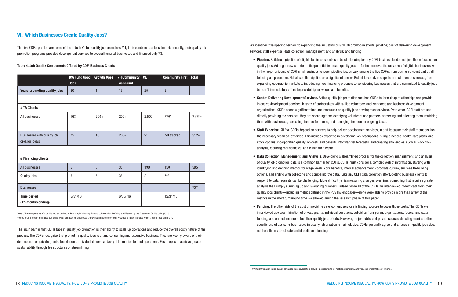We identified five specific barriers to expanding the industry's quality job promotion efforts: pipeline; cost of delivering development services; staff expertise; data collection, management, and analysis; and funding.

 • Pipeline. Building a pipeline of eligible business clients can be challenging for any CDFI business lender, not just those focused on quality jobs. Adding a new criterion—the potential to create quality jobs— further narrows the universe of eligible businesses. As in the larger universe of CDFI small business lenders, pipeline issues vary among the five CDFIs, from posing no constraint at all to being a top concern. Not all see the pipeline as a significant barrier. But all have taken steps to attract more businesses, from expanding geographic markets to introducing new financing products to considering businesses that are committed to quality jobs

 • Cost of Delivering Development Services. Active quality job promotion requires CDFIs to form deep relationships and provide intensive development services. In spite of partnerships with skilled volunteers and workforce and business development organizations, CDFIs spend significant time and resources on quality jobs development services. Even when CDFI staff are not directly providing the services, they are spending time identifying volunteers and partners, screening and orienting them, matching

 • Staff Expertise. All five CDFIs depend on partners to help deliver development services, in part because their staff members lack the necessary technical expertise. This includes expertise in developing job descriptions, hiring practices, health care plans, and stock options; incorporating quality job costs and benefits into financial forecasts; and creating efficiencies, such as work flow

- but can't immediately afford to provide higher wages and benefits.
- them with businesses, assessing their performance, and managing them on an ongoing basis.
- analysis, reducing redundancies, and eliminating waste.
- metrics in the short turnaround time we allowed during the research phase of this paper.
- Funding. The other side of the cost of providing development services is finding sources to cover those costs. The CDFIs we not help them attract substantial additional funding.

 • Data Collection, Management, and Analysis. Developing a streamlined process for the collection, management, and analysis of quality job promotion data is a common barrier for CDFIs. CDFIs must consider a complex web of information, starting with identifying and defining metrics for wage levels, core benefits, internal advancement, corporate culture, and wealth-building options, and ending with collecting and comparing the data.<sup>7</sup> Like any CDFI data collection effort, getting business clients to respond to data requests can be challenging. More difficult yet is measuring changes over time, something that requires greater analysis than simply summing up and averaging numbers. Indeed, while all of the CDFIs we interviewed collect data from their quality jobs clients—including metrics defined in the PCV InSight paper—none were able to provide more than a few of the

interviewed use a combination of private grants, individual donations, subsidies from parent organizations, federal and state funding, and earned income to fuel their quality jobs efforts. However, major public and private sources directing monies to the specific use of assisting businesses in quality job creation remain elusive. CDFIs generally agree that a focus on quality jobs does

### VI. Which Businesses Create Quality Jobs?

The five CDFIs profiled are some of the industry's top quality job promoters. Yet, their combined scale is limited: annually, their quality job promotion programs provided development services to several hundred businesses and financed only 73.

#### Table 4. Job Quality Components Offered by CDFI Business Clients

|                                               | <b>ICA Fund Good</b><br><b>Jobs</b> | <b>Growth Opps</b> | <b>NH Community</b><br><b>Loan Fund</b> | <b>CEI</b> | <b>Community First</b> | <b>Total</b> |
|-----------------------------------------------|-------------------------------------|--------------------|-----------------------------------------|------------|------------------------|--------------|
| <b>Years promoting quality jobs</b>           | 20                                  | 1                  | 13                                      | 25         | $\overline{2}$         |              |
|                                               |                                     |                    |                                         |            |                        |              |
| # TA Clients                                  |                                     |                    |                                         |            |                        |              |
| All businesses                                | 163                                 | $200+$             | $200+$                                  | 2,500      | $770*$                 | $3,833+$     |
|                                               |                                     |                    |                                         |            |                        |              |
| Businesses with quality job<br>creation goals | 75                                  | 16                 | $200+$                                  | 21         | not tracked            | $312+$       |
|                                               |                                     |                    |                                         |            |                        |              |
| # Financing clients                           |                                     |                    |                                         |            |                        |              |
| All businesses                                | 5                                   | 5                  | 35                                      | 190        | 150                    | 385          |
| Quality jobs                                  | 5                                   | 5                  | 35                                      | 21         | $7**$                  |              |
| <b>Businesses</b>                             |                                     |                    |                                         |            |                        | $73**$       |
| <b>Time period</b><br>(12-months ending)      | 5/31/16                             |                    | 6/30/16                                 |            | 12/31/15               |              |

\*One of five components of a quality job, as defined in PCV InSight's Moving Beyond Job Creation: Defining and Measuring the Creation of Quality Jobs (2016) \*\*Used to offer health insurance but found it was cheaper for employees to buy insurance on their own. Provided a salary increase when they stopped offering it.

The main barrier that CDFIs face in quality job promotion is their ability to scale up operations and reduce the overall costly nature of the process. The CDFIs recognize that promoting quality jobs is a time consuming and expensive business. They are keenly aware of their dependence on private grants, foundations, individual donors, and/or public monies to fund operations. Each hopes to achieve greater sustainability through fee structures or streamlining.

<sup>7</sup> PCV InSight's paper on job quality advances the conversation, providing suggestions for metrics, definitions, analysis, and presentation of findings.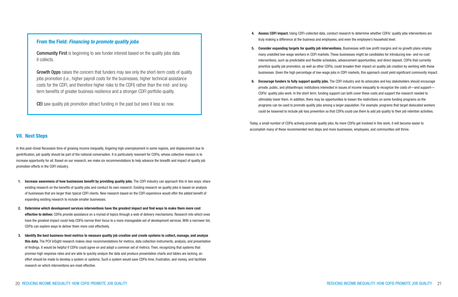4. Assess CDFI impact. Using CDFI-collected data, conduct research to determine whether CDFIs' quality jobs interventions are

- truly making a difference at the business and employees, and even the employee's household level.
- 
- 

5. Consider expanding targets for quality job interventions. Businesses with low profit margins and no growth plans employ many unskilled low-wage workers in CDFI markets. These businesses might be candidates for introducing low- and no-cost interventions, such as predictable and flexible schedules, advancement opportunities, and direct deposit. CDFIs that currently prioritize quality job promotion, as well as other CDFIs, could broaden their impact on quality job creation by working with these businesses. Given the high percentage of low-wage jobs in CDFI markets, this approach could yield significant community impact.

6. Encourage funders to fully support quality jobs. The CDFI industry and its advocates and key stakeholders should encourage private, public, and philanthropic institutions interested in issues of income inequality to recognize the costs of—and support— CDFIs' quality jobs work. In the short term, funding support can both cover these costs and support the research needed to ultimately lower them. In addition, there may be opportunities to loosen the restrictions on some funding programs so the programs can be used to promote quality jobs among a larger population. For example, programs that target dislocated workers could be loosened to include job loss prevention so that CDFIs could use them to add job quality to their job retention activities.

Today, a small number of CDFIs actively promote quality jobs. As more CDFIs get involved in this work, it will become easier to accomplish many of these recommended next steps and more businesses, employees, and communities will thrive.

### VII. Next Steps

- 1. Increase awareness of how businesses benefit by providing quality jobs. The CDFI industry can approach this in two ways: share existing research on the benefits of quality jobs and conduct its own research. Existing research on quality jobs is based on analysis of businesses that are larger than typical CDFI clients. New research based on the CDFI experience would offer the added benefit of expanding existing research to include smaller businesses.
- 2. Determine which development services interventions have the greatest impact and find ways to make them more cost effective to deliver. CDFIs provide assistance on a myriad of topics through a web of delivery mechanisms. Research into which ones have the greatest impact could help CDFIs narrow their focus to a more manageable set of development services. With a narrower list, CDFIs can explore ways to deliver them more cost effectively.
- 3. Identify the best business-level metrics to measure quality job creation and create systems to collect, manage, and analyze this data. The PCV InSight research makes clear recommendations for metrics, data collection instruments, analysis, and presentation of findings. It would be helpful if CDFIs could agree on and adopt a common set of metrics. Then, recognizing that systems that promise high response rates and are able to quickly analyze the data and produce presentation charts and tables are lacking, an effort should be made to develop a system or systems. Such a system would save CDFIs time, frustration, and money, and facilitate research on which interventions are most effective.

**Community First** is beginning to see funder interest based on the quality jobs data it collects.

In this post–Great Recession time of growing income inequality, lingering high unemployment in some regions, and displacement due to gentrification, job quality should be part of the national conversation. It is particularly resonant for CDFIs, whose collective mission is to increase opportunity for all. Based on our research, we make six recommendations to help advance the breadth and impact of quality job promotion efforts in the CDFI industry.

Growth Opps raises the concern that funders may see only the short-term costs of quality jobs promotion (i.e., higher payroll costs for the businesses, higher technical assistance costs for the CDFI, and therefore higher risks to the CDFI) rather than the mid- and longterm benefits of greater business resilience and a stronger CDFI portfolio quality.

#### From the Field: *Financing to promote quality jobs*

CEI saw quality job promotion attract funding in the past but sees it less so now.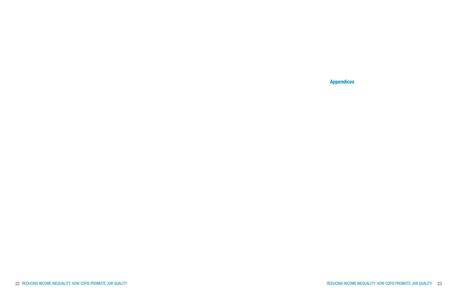### Appendices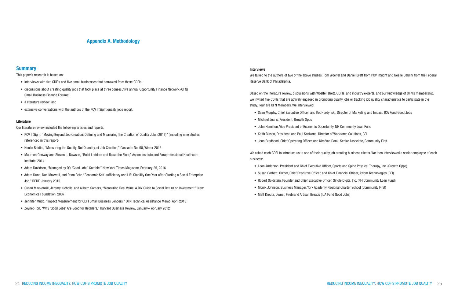#### Interviews

We talked to the authors of two of the above studies: Tom Woelfel and Daniel Brett from PCV InSight and Noelle Baldini from the Federal Reserve Bank of Philadelphia.

Based on the literature review, discussions with Woelfel, Brett, CDFIs, and industry experts, and our knowledge of OFN's membership, we invited five CDFIs that are actively engaged in promoting quality jobs or tracking job quality characteristics to participate in the study. Four are OFN Members. We interviewed:

- Sean Murphy, Chief Executive Officer, and Kot Hordynski, Director of Marketing and Impact, ICA Fund Good Jobs
- Michael Jeans, President, Growth Opps
- John Hamilton, Vice President of Economic Opportunity, NH Community Loan Fund
- Keith Bisson, President, and Paul Scalzone, Director of Workforce Solutions, CEI
- Joan Brodhead, Chief Operating Officer, and Kim Van Donk, Senior Associate, Community First.

We asked each CDFI to introduce us to one of their quality job creating business clients. We then interviewed a senior employee of each business:

- Leon Anderson, President and Chief Executive Officer, Sports and Spine Physical Therapy, Inc. (Growth Opps)
- Susan Corbett, Owner, Chief Executive Officer, and Chief Financial Officer, Axiom Technologies (CEI)
- Robert Goldstein, Founder and Chief Executive Officer, Single Digits, Inc. (NH Community Loan Fund)
- Monik Johnson, Business Manager, York Academy Regional Charter School (Community First)
- Matt Kreutz, Owner, Firebrand Artisan Breads (ICA Fund Good Jobs)

### Appendix A. Methodology

#### **Summary**

This paper's research is based on:

- interviews with five CDFIs and five small businesses that borrowed from these CDFIs;
- discussions about creating quality jobs that took place at three consecutive annual Opportunity Finance Network (OFN) Small Business Finance Forums;
- a literature review; and
- extensive conversations with the authors of the PCV InSight quality jobs report.

#### Literature

Our literature review included the following articles and reports:

- PCV InSight, "Moving Beyond Job Creation: Defining and Measuring the Creation of Quality Jobs (2016)" (including nine studies referenced in this report)
- Noelle Baldini, "Measuring the Quality, Not Quantity, of Job Creation," Cascade: No. 90, Winter 2016
- Maureen Conway and Steven L. Dawson, "Build Ladders and Raise the Floor," Aspen Institute and Paraprofessional Healthcare Institute, 2014
- Adam Davidson, "Managed by Q's 'Good Jobs' Gamble," New York Times Magazine, February 25, 2016
- Adam Dunn, Nan Maxwell, and Dana Rotz, "Economic Self-sufficiency and Life Stability One Year after Starting a Social Enterprise Job," REDF, January 2015
- Susan Mackenzie, Jeremy Nicholls, and Ailbeth Somers, "Measuring Real Value: A DIY Guide to Social Return on Investment," New Economics Foundation, 2007
- Jennifer Mudd, "Impact Measurement for CDFI Small Business Lenders," OFN Technical Assistance Memo, April 2013
- Zeynep Ton, "Why 'Good Jobs' Are Good for Retailers," Harvard Business Review, January–February 2012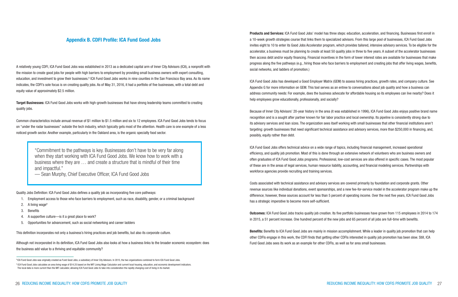Products and Services: ICA Fund Good Jobs' model has three steps: education, acceleration, and financing. Businesses first enroll in a 10-week growth strategies course that links them to specialized advisors. From this large pool of businesses, ICA Fund Good Jobs invites eight to 10 to enter its Good Jobs Accelerator program, which provides tailored, intensive advisory services. To be eligible for the accelerator, a business must be planning to create at least 50 quality jobs in three to five years. A subset of the accelerator businesses then access debt and/or equity financing. Financial incentives in the form of lower interest rates are available for businesses that make progress along the five pathways (e.g., hiring those who face barriers to employment and creating jobs that offer living wages, benefits, social networks, and ladders of promotion.)

ICA Fund Good Jobs has developed a Good Employer Matrix (GEM) to assess hiring practices, growth rates, and company culture. See Appendix G for more information on GEM. This tool serves as an entree to conversations about job quality and how a business can address community needs: For example, does the business advocate for affordable housing so its employees can live nearby? Does it help employees grow educationally, professionally, and socially?

Because of Inner City Advisors' 20-year history in the area (it was established in 1996), ICA Fund Good Jobs enjoys positive brand name recognition and is a sought after partner known for fair labor practice and local ownership. Its pipeline is consistently strong due to its advisory services and loan sizes. The organization sees itself working with small businesses that other financial institutions aren't targeting: growth businesses that need significant technical assistance and advisory services, more than \$250,000 in financing, and, possibly, equity rather than debt.

**Benefits:** Benefits to ICA Fund Good Jobs are mainly in mission accomplishment. While a leader in quality job promotion that can help other CDFIs engage in this work, the CDFI finds that getting other CDFIs interested in quality job promotion has been slow. Still, ICA Fund Good Jobs sees its work as an example for other CDFIs, as well as for area small businesses.

Target Businesses: ICA Fund Good Jobs works with high-growth businesses that have strong leadership teams committed to creating quality jobs.

> ICA Fund Good Jobs offers technical advice on a wide range of topics, including financial management, increased operational efficiency, and quality job promotion. Most of this is done through an extensive network of volunteers who are business owners and often graduates of ICA Fund Good Jobs programs. Professional, low-cost services are also offered in specific cases. The most popular of these are in the areas of legal services, human resource liability, accounting, and financial modeling services. Partnerships with workforce agencies provide recruiting and training services.

Costs associated with technical assistance and advisory services are covered primarily by foundation and corporate grants. Other revenue sources like individual donations, event sponsorships, and a new fee-for-service model in the accelerator program make up the difference; however, these sources account for less than 5 percent of operating income. Over the next five years, ICA Fund Good Jobs has a strategic imperative to become more self-sufficient.

Outcomes: ICA Fund Good Jobs tracks quality job creation. Its five portfolio businesses have grown from 115 employees in 2014 to 174 in 2015, a 51 percent increase. One hundred percent of the new jobs and 65 percent of all jobs are full-time with benefits.

### Appendix B. CDFI Profile: ICA Fund Good Jobs

A relatively young CDFI, ICA Fund Good Jobs was established in 2013 as a dedicated capital arm of Inner City Advisors (ICA), a nonprofit with the mission to create good jobs for people with high barriers to employment by providing small business owners with expert consulting, education, and investment to grow their businesses.<sup>8</sup> ICA Fund Good Jobs works in nine counties in the San Francisco Bay area. As its name indicates, the CDFI's sole focus is on creating quality jobs. As of May 31, 2016, it had a portfolio of five businesses, with a total debt and equity value of approximately \$2.5 million.

Common characteristics include annual revenue of \$1 million to \$1.5 million and six to 12 employees. ICA Fund Good Jobs tends to focus on "under the radar businesses" outside the tech industry, which typically gets most of the attention. Health care is one example of a less noticed growth sector. Another example, particularly in the Oakland area, is the organic specialty food sector.

Quality Jobs Definition: ICA Fund Good Jobs defines a quality job as incorporating five core pathways:

- 1. Employment access to those who face barriers to employment, such as race, disability, gender, or a criminal background
- 2. A living wage<sup>9</sup>
- 3. Benefits
- 4. A supportive culture—is it a great place to work?
- 5. Opportunities for advancement, such as social networking and career ladders

This definition incorporates not only a business's hiring practices and job benefits, but also its corporate culture.

Although not incorporated in its definition, ICA Fund Good Jobs also looks at how a business links to the broader economic ecosystem: does the business add value to a thriving and equitable community?

"Commitment to the pathways is key. Businesses don't have to be very far along when they start working with ICA Fund Good Jobs. We know how to work with a business where they are … and create a structure that is mindful of their time and impactful."

— Sean Murphy, Chief Executive Officer, ICA Fund Good Jobs

<sup>&</sup>lt;sup>8</sup> ICA Fund Good Jobs was originally created as Fund Good Jobs, a subsidiary of Inner City Advisors. In 2015, the two organizations combined to form ICA Fund Good Jobs.

<sup>9</sup> ICA Fund Good Jobs calculates an area living wage of \$14.25 based on the MIT Living Wage Calculator and current local housing, education, and economic development indicators. The local data is more current than the MIT calculator, allowing ICA Fund Good Jobs to take into consideration the rapidly changing cost of living in its market.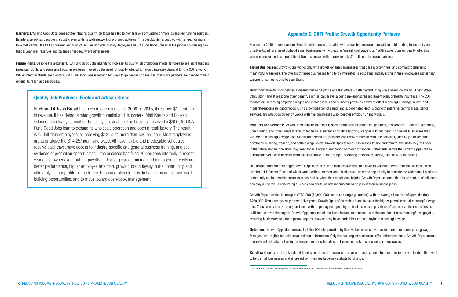### Appendix C. CDFI Profile: Growth Opportunity Partners

Founded in 2015 in northeastern Ohio, Growth Opps was created with a two-fold mission of providing debt funding to inner city and disadvantaged rural neighborhood small businesses while creating "meaningful wage jobs." With a sole focus on quality jobs, this young organization has a portfolio of five businesses with approximately \$1 million in loans outstanding.

Target Businesses: Growth Opps works only with growth-oriented businesses that pass a growth test and commit to delivering meaningful wage jobs. The owners of these businesses tend to be interested in educating and investing in their employees rather than waiting for someone else to train them.

Products and Services: Growth Opps' quality job focus is seen throughout its strategies, products, and services. From pre-screening, underwriting, and lower interest rates to technical assistance and data tracking, its goal is to find, fund, and assist businesses that will create meaningful wage jobs. Significant technical assistance goes toward human resource activities, such as job description development, hiring, training, and setting wage levels. Growth Opps teaches businesses to hire and train for the skills they will need in the future, not just the skills they need today. Ongoing monitoring of monthly financial statements allows the Growth Opps staff to quickly intervene with relevant technical assistance in, for example, operating efficiencies, hiring, cash flow, or marketing.

Definition: Growth Opps defines a meaningful wage job as one that offers a path beyond living wage based on the MIT Living Wage Calculator11 and at least one other benefit, such as paid leave, a company-sponsored retirement plan, or health insurance. The CDFI focuses on increasing employee wages and income levels and business profits as a way to effect meaningful change in low- and moderate-income neighborhoods. Using a combination of senior and subordinated debt, along with intensive technical assistance services, Growth Opps currently works with five businesses who together employ 104 individuals.

Benefits: Benefits are largely related to mission. Growth Opps sees itself as a strong example to other mission-driven lenders that want to help small businesses in disinvested communities become catalysts for change.

One unique marketing strategy Growth Opps uses is training local accountants and lawyers who work with small businesses. These "centers of influence," each of which works with numerous small businesses, have the opportunity to educate the wider small business community on the benefits businesses can realize when they create quality jobs. Growth Opps has found that these centers of influence can play a key role in convincing business owners to include meaningful wage jobs in their business plans.

Growth Opps provides loans up to \$750,000 (\$1,000,000 cap to any single guarantor), with an average loan size of approximately \$250,000. Terms are typically three to five years. Growth Opps often makes loans to cover the higher payroll costs of meaningful wage jobs. These are typically three-year loans, with no prepayment penalty, so businesses can pay them off as soon as their cash flow is sufficient to cover the payroll. Growth Opps may match the loan disbursement schedule to the creation of new meaningful wage jobs, requiring businesses to submit payroll reports showing they have made hires and are paying a meaningful wage.

Outcomes: Growth Opps data reveals that the 104 jobs provided by the five businesses it works with are at or above a living wage. Most jobs are eligible for paid leave and health insurance. Only the two largest businesses offer retirement plans. Growth Opps doesn't currently collect data on training, advancement, or scheduling, but plans to track this in coming survey cycles.

Barriers: ICA Fund Good Jobs does not feel that its quality job focus has led to higher levels of funding or more diversified funding sources. Its intensive advisory process is costly, even with its wide network of pro bono advisors. This cost barrier is coupled with a need for more low-cost capital: the CDFI's current loan fund of \$2.5 million was quickly deployed and ICA Fund Good Jobs is in the process of raising new funds. Loan loss reserves and balance sheet equity are other needs.

Future Plans: Despite these barriers, ICA Fund Good Jobs intends to increase its quality job promotion efforts. It hopes to see more funders, investors, CDFIs, and even small businesses being moved by the need for quality jobs, which would increase demand for the CDFI's work. While potential clients are plentiful, ICA Fund Good Jobs is looking for ways to go deeper and realizes that more partners are needed to help extend its reach and resources.

### Quality Job Producer: Firebrand Artisan Bread

Firebrand Artisan Bread has been in operation since 2008. In 2015, it reached \$1.2 million in revenue. It has demonstrated growth potential and its owners, Matt Kreutz and Colleen Orlando, are clearly committed to quality job creation. The business received a \$600,000 ICA Fund Good Jobs loan to expand its wholesale operation and open a retail bakery. The result is 55 full-time employees, all receiving \$12.50 to more than \$20 per hour. Most employees are at or above the \$14.25/hour living wage. All have flexible and predictable schedules, receive paid leave, have access to industry-specific and general business training, and see evidence of promotion opportunities—the business has filled 20 positions internally in recent years. The owners see that the payoffs for higher payroll, training, and management costs are better performance, higher employee retention, growing brand loyalty in the community, and ultimately, higher profits. In the future, Firebrand plans to provide health insurance and wealthbuilding opportunities, and to move toward open-book management.

<sup>&</sup>lt;sup>11</sup> Growth Opps uses the living wage for two adults and two children because this fits its market's demographic best.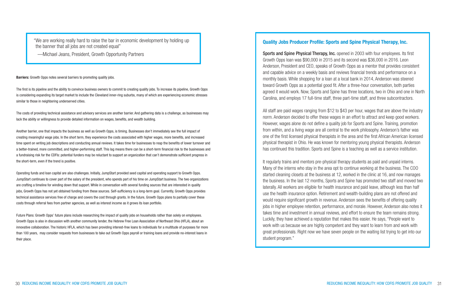The first is its pipeline and the ability to convince business owners to commit to creating quality jobs. To increase its pipeline, Growth Opps is considering expanding its target market to include the Cleveland inner-ring suburbs, many of which are experiencing economic stresses similar to those in neighboring underserved cities.

The costs of providing technical assistance and advisory services are another barrier. And gathering data is a challenge, as businesses may lack the ability or willingness to provide detailed information on wages, benefits, and wealth building.

Another barrier, one that impacts the business as well as Growth Opps, is timing. Businesses don't immediately see the full impact of creating meaningful wage jobs. In the short term, they experience the costs associated with higher wages, more benefits, and increased time spent on writing job descriptions and conducting annual reviews. It takes time for businesses to reap the benefits of lower turnover and a better-trained, more committed, and higher-performing staff. This lag means there can be a short-term financial risk to the businesses and a fundraising risk for the CDFIs: potential funders may be reluctant to support an organization that can't demonstrate sufficient progress in the short-term, even if the trend is positive.

Operating funds and loan capital are also challenges. Initially, JumpStart provided seed capital and operating support to Growth Opps. JumpStart continues to cover part of the salary of the president, who spends part of his time on JumpStart business. The two organizations are crafting a timeline for winding down that support. While in conversation with several funding sources that are interested in quality jobs, Growth Opps has not yet obtained funding from these sources. Self-sufficiency is a long-term goal. Currently, Growth Opps provides technical assistance services free of charge and covers the cost through grants. In the future, Growth Opps plans to partially cover these costs through referral fees from partner agencies, as well as interest income as it grows its loan portfolio.

Future Plans: Growth Opps' future plans include researching the impact of quality jobs on households rather than solely on employees. Growth Opps is also in discussion with another community lender, the Hebrew Free Loan Association of Northeast Ohio (HFLA), about an innovative collaboration. The historic HFLA, which has been providing interest-free loans to individuals for a multitude of purposes for more than 100 years, may consider requests from businesses to take out Growth Opps payroll or training loans and provide no-interest loans in their place.

"We are working really hard to raise the bar in economic development by holding up the banner that all jobs are not created equal"

—Michael Jeans, President, Growth Opportunity Partners

**Barriers:** Growth Opps notes several barriers to promoting quality jobs.

### Quality Jobs Producer Profile: Sports and Spine Physical Therapy, Inc.

Sports and Spine Physical Therapy, Inc. opened in 2003 with four employees. Its first Growth Opps loan was \$90,000 in 2015 and its second was \$36,000 in 2016. Leon Anderson, President and CEO, speaks of Growth Opps as a mentor that provides consistent and capable advice on a weekly basis and reviews financial trends and performance on a monthly basis. While shopping for a loan at a local bank in 2014, Anderson was steered toward Growth Opps as a potential good fit. After a three-hour conversation, both parties agreed it would work. Now, Sports and Spine has three locations, two in Ohio and one in North Carolina, and employs 17 full-time staff, three part-time staff, and three subcontractors.

All staff are paid wages ranging from \$12 to \$43 per hour, wages that are above the industry norm. Anderson decided to offer these wages in an effort to attract and keep good workers. However, wages alone do not define a quality job for Sports and Spine. Training, promotion from within, and a living wage are all central to the work philosophy. Anderson's father was one of the first licensed physical therapists in the area and the first African American licensed physical therapist in Ohio. He was known for mentoring young physical therapists. Anderson has continued this tradition. Sports and Spine is a teaching as well as a service institution.

It regularly trains and mentors pre-physical therapy students as paid and unpaid interns. Many of the interns who stay in the area opt to continue working at the business. The COO started cleaning closets at the business at 12, worked in the clinic at 16, and now manages the business. In the last 12 months, Sports and Spine has promoted two staff and moved two laterally. All workers are eligible for health insurance and paid leave, although less than half use the health insurance option. Retirement and wealth-building plans are not offered and would require significant growth in revenue. Anderson sees the benefits of offering quality jobs in higher employee retention, performance, and morale. However, Anderson also notes it takes time and investment in annual reviews, and effort to ensure the team remains strong. Luckily, they have achieved a reputation that makes this easier. He says, "People want to work with us because we are highly competent and they want to learn from and work with great professionals. Right now we have seven people on the waiting list trying to get into our student program."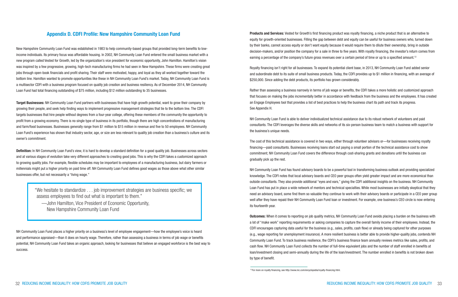Royalty financing isn't right for all businesses. To expand its potential client base, in 2013, NH Community Loan Fund added senior and subordinate debt to its suite of small business products. Today, the CDFI provides up to \$1 million in financing, with an average of \$250,000. Since adding the debt products, its portfolio has grown considerably.

Rather than assessing a business narrowly in terms of job wage or benefits, the CDFI takes a more holistic and customized approach that focuses on making the jobs incrementally better in accordance with feedback from the business and the employees. It has created an Engage Employees tool that provides a list of best practices to help the business chart its path and track its progress. See Appendix H.

NH Community Loan Fund is able to deliver individualized technical assistance due to its robust network of volunteers and paid consultants. The CDFI leverages the diverse skills and networks of its six-person business team to match a business with support for the business's unique needs.

The cost of this technical assistance is covered in two ways, either through volunteer advisors or—for businesses receiving royalty financing—paid consultants. Businesses receiving loans start out paying a small portion of the technical assistance cost to show commitment; NH Community Loan Fund covers the difference through cost-sharing grants and donations until the business can gradually pick up the rest.

NH Community Loan Fund has found advisory boards to be a powerful tool in transforming business outlook and providing specialized knowledge. The CDFI notes that local advisory boards and CEO peer groups often yield greater impact and are more economical than outside consultants. They also provide additional "eyes and ears," giving the CDFI additional insights on the business. NH Community Loan Fund has put in place a wide network of mentors and technical specialties. While most businesses are initially skeptical that they need an advisory board, some find them so valuable they continue to work with their advisory boards or participate in a CEO peer group well after they have repaid their NH Community Loan Fund loan or investment. For example, one business's CEO circle is now entering its fourteenth year.

Target Businesses: NH Community Loan Fund partners with businesses that have high growth potential, want to grow their company by growing their people, and seek help finding ways to implement progressive management strategies that tie to the bottom line. The CDFI targets businesses that hire people without degrees from a four-year college, offering these members of the community the opportunity to profit from a growing economy. There is no single type of business in its portfolio, though there are high concentrations of manufacturing and farm/food businesses. Businesses generally range from \$1 million to \$15 million in revenue and five to 50 employees. NH Community Loan Fund's experience has shown that industry sector, age, or size are less relevant to quality job creation than a business's culture and its owner's commitment.

Definition: In NH Community Loan Fund's view, it is hard to develop a standard definition for a good quality job. Businesses across sectors and at various stages of evolution take very different approaches to creating good jobs. This is why the CDFI takes a customized approach to growing quality jobs. For example, flexible schedules may be important to employees of a manufacturing business, but dairy farmers or millennials might put a higher priority on paid time off. NH Community Loan Fund defines good wages as those above what other similar businesses offer, but not necessarily a "living wage."

> Outcomes: When it comes to reporting on job quality metrics, NH Community Loan Fund avoids placing a burden on the business with a lot of "make work" reporting requirements or asking companies to capture the overall family income of their employees. Instead, the CDFI encourages capturing data useful for the business (e.g., sales, profits, cash flow) or already being captured for other purposes (e.g., wage reporting for unemployment insurance). A more resilient business is better able to provide higher-quality jobs, contends NH Community Loan Fund. To track business resilience, the CDFI's business finance team annually reviews metrics like sales, profits, and cash flow. NH Community Loan Fund collects the number of full-time equivalent jobs and the number of staff enrolled in benefits at loan/investment closing and semi-annually during the life of the loan/investment. The number enrolled in benefits is not broken down by type of benefit.

### Appendix D. CDFI Profile: New Hampshire Community Loan Fund

New Hampshire Community Loan Fund was established in 1983 to help community-based groups that provided long-term benefits to lowincome individuals. Its primary focus was affordable housing. In 2002, NH Community Loan Fund entered the small business market with a new program called Vested for Growth, led by the organization's vice president for economic opportunity, John Hamilton. Hamilton's vision was inspired by a few progressive, growing, high-tech manufacturing firms he had seen in New Hampshire. These firms were creating great jobs through open-book financials and profit sharing. Their staff were motivated, happy, and loyal as they all worked together toward the bottom line. Hamilton wanted to promote opportunities like these in NH Community Loan Fund's market. Today, NH Community Loan Fund is a multisector CDFI with a business program focused on quality job creation and business resiliency. As of December 2014, NH Community Loan Fund had total financing outstanding of \$75 million, including \$12 million outstanding to 35 businesses.

NH Community Loan Fund places a higher priority on a business's level of employee engagement—how the employee's voice is heard and performance appraised—than it does on hourly wage. Therefore, rather than assessing a business in terms of job wage or benefits potential, NH Community Loan Fund takes an organic approach, looking for businesses that believe an engaged workforce is the best way to success.

**Products and Services:** Vested for Growth's first financing product was royalty financing, a niche product that is an alternative to equity for growth-oriented businesses. Filling the gap between debt and equity can be useful for business owners who, turned down by their banks, cannot access equity or don't want equity because it would require them to dilute their ownership, bring in outside decision-makers, and/or position the company for a sale in three to five years. With royalty financing, the investor's return comes from earning a percentage of the company's future gross revenues over a certain period of time or up to a specified amount.<sup>12</sup>

"We hesitate to standardize . . . job improvement strategies are business specific; we assess employees to find out what is important to them."

 —John Hamilton, Vice President of Economic Opportunity, New Hampshire Community Loan Fund

<sup>&</sup>lt;sup>12</sup> For more on royalty financing, see http://www.inc.com/encyclopedia/royalty-financing.html.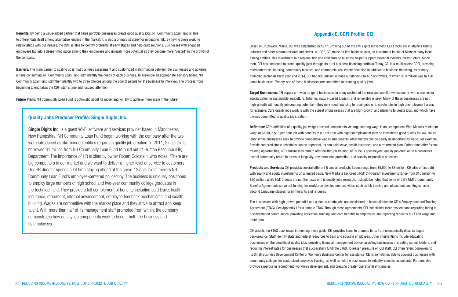### Appendix E. CDFI Profile: CEI

Based in Brunswick, Maine, CEI was established in 1977. Growing out of the civil rights movement, CEI's roots are in Maine's fishing industry and other natural resource industries. In 1982, CEI made its first business loan, an investment in one of Maine's many local fishing entities. This investment in a regional fish and cold storage business helped support essential industry infrastructure. Since then, CEI has continued to create quality jobs through its rural business financing portfolio. Today, CEI is a multi-sector CDFI, providing microenterprise, housing, community facilities, and commercial real estate financing in addition to business financing, its primary financing sector. At fiscal year end 2014, CEI had \$36 million in loans outstanding to 407 borrowers, of which \$19 million was to 190 small businesses. Twenty-one of these businesses are committed to creating quality jobs.

Target Businesses: CEI supports a wide range of businesses in many sectors of the rural and small town economy, with some sector specialization in sustainable agriculture, fisheries, nature-based tourism, and renewable energy. Many of these businesses are not high-growth with quality job creating potential—they may need financing to retain jobs or to create jobs in high unemployment areas, for example. CEI's quality jobs work is with the subset of businesses that are high-growth and planning to create jobs, and which have owners committed to quality job creation.

Definition: CEI's definition of a quality job weighs several components. Average starting wage is one component. With Maine's minimum wage at \$7.50, a \$10 per hour job with benefits in a rural area with high unemployment may be considered good quality for low-skilled labor. While businesses seek to provide competitive wages and benefits, other factors can be nearly as important as wage. For example, flexible and predictable schedules can be important, as can paid leave, health insurance, and a retirement plan. Rather than offer formal training opportunities, CEI's businesses tend to offer on-the-job training. CEI's focus goes beyond quality job creation to a business's overall community return in terms of longevity, environmental protection, and socially responsible practices.

Products and Services: CEI provides several different financial products. Loans range from \$5,000 to \$3 million. CEI also offers debt with equity and equity investments on a limited basis. New Markets Tax Credit (NMTC) Program investments range from \$10 million to \$30 million. While NMTC deals are not the focus of this quality jobs research, it should be noted that some of CEI's NMTC Community Benefits Agreements carve out funding for workforce development activities, such as job training and placement, and English as a Second Language classes for immigrants and refugees.

Barriers: The main barrier to scaling up is that business assessment and customized matchmaking between the businesses and advisors is time consuming. NH Community Loan Fund staff identify the needs of each business. To assemble an appropriate advisory board, NH Community Loan Fund staff then identify two to three choices among the pool of people for the business to interview. The process from beginning to end takes the CDFI staff's time and focused attention.

Future Plans: NH Community Loan Fund is optimistic about its model and will try to achieve more scale in the future.

The businesses with high growth potential and a plan to create jobs are considered to be candidates for CEI's Employment and Training Agreement (ETAG). See Appendix I for a sample ETAG. Through these agreements, CEI establishes clear expectations regarding hiring in disadvantaged communities; providing education, training, and core benefits to employees; and reporting regularly to CEI on wage and other data.

CEI assists the ETAG businesses in meeting these goals. CEI provides loans to promote hires from economically disadvantaged backgrounds. Staff identify state and federal resources to train and educate employees. Other interventions include educating businesses on the benefits of quality jobs, providing financial management advice, assisting businesses in creating career ladders, and reducing interest rates for businesses that successfully fulfill the ETAG. To lessen pressure on CEI staff, CEI often refers borrowers to its Small Business Development Center or Women's Business Center for assistance. CEI is sometimes able to connect businesses with community colleges for customized employee training, as well as link the businesses to industry-specific consultants. Partners also provide expertise in recruitment, workforce development, and creating greater operational efficiencies.

Benefits: By being a value-added partner that helps portfolio businesses create good quality jobs, NH Community Loan Fund is able to differentiate itself among alternative lenders in the market. It is also a primary strategy for mitigating risk. By having close working relationships with businesses, the CDFI is able to identify problems at early stages and help craft solutions. Businesses with engaged employees tap into a deeper motivation among their employees and unleash more potential as they become more "vested" in the growth of the company.

#### Quality Jobs Producer Profile: Single Digits, Inc.

Single Digits Inc. is a guest Wi-Fi software and services provider based in Manchester, New Hampshire. NH Community Loan Fund began working with the company after the two were introduced as like-minded entities regarding quality job creation. In 2011, Single Digits borrowed \$1 million from NH Community Loan Fund to build out its Human Resource (HR) Department. The importance of HR is cited by owner Robert Goldstein, who notes, "There are big competitors in our market and we want to deliver a higher level of service to customers. Our HR director spends a lot time staying ahead of the curve." Single Digits mirrors NH Community Loan Fund's employee-centered philosophy. The business is uniquely positioned to employ large numbers of high school and two-year community college graduates in the technical field. They provide a full complement of benefits including paid leave, health insurance, retirement, internal advancement, employee feedback mechanisms, and wealth building. Wages are competitive with the market place and they strive to attract and keep talent. With more than half of its management staff promoted from within, the company demonstrates how quality job components work to benefit both the business and its employees.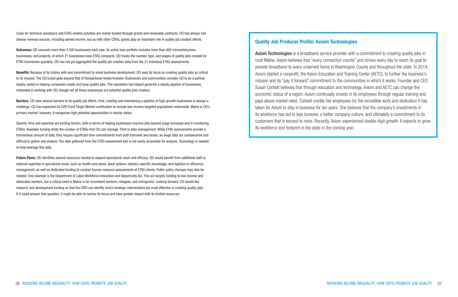Costs for technical assistance and ETAG-related activities are mainly funded through grants and renewable contracts. CEI has always had diverse revenue sources, including earned income, but as with other CDFIs, grants play an important role in quality job creation efforts.

Outcomes: CEI counsels more than 2,500 businesses each year. Its active loan portfolio includes more than 400 microenterprises, businesses, and projects, of which 21 businesses have ETAG compacts. CEI tracks the number, type, and wages of quality jobs created by ETAG businesses quarterly. CEI has not yet aggregated the quality job creation data from the 21 individual ETAG assessments.

Barriers: CEI sees several barriers to its quality job efforts. First, creating and maintaining a pipeline of high-growth businesses is always a challenge. CEI has expanded its CDFI Fund Target Market certification to include low-income targeted populations nationwide. Maine is CEI's primary market; however, it recognizes high potential opportunities in nearby states.

Benefits: Because of its history with and commitment to small business development, CEI sees its focus on creating quality jobs as critical to its mission. The CEI brand goes beyond that of transactional lender/investor. Businesses and communities consider CEI to be a partner deeply vested in helping companies create and keep quality jobs. This reputation has helped generate a steady pipeline of businesses interested in working with CEI, though not all these businesses are potential quality jobs creators.

Future Plans: CEI identifies several resources needed to expand operational reach and efficacy. CEI would benefit from additional staff or external expertise in specialized areas, such as health care plans, stock options, industry-specific knowledge, and logistics or efficiency management, as well as dedicated funding to conduct human resource assessments of ETAG clients. Public policy changes may also be needed. One example is the Department of Labor Workforce Innovation and Opportunity Act. This act targets funding to low-income and dislocated workers, but a critical need in Maine is for incumbent workers, refugees, and immigrants. Looking forward, CEI would like research and development funding so that the CDFI can identify which strategic interventions are most effective in creating quality jobs. If it could answer that question, it might be able to narrow its focus and have greater impact with its limited resources.

Second, time and expertise are limiting factors, both in terms of helping businesses improve jobs beyond wage increases and in monitoring ETAGs. Available funding limits the number of ETAGs that CEI can manage. Third is data management. While ETAG assessments provide a tremendous amount of data, they require significant time commitments from both borrower and lender, as wage data are cumbersome and difficult to gather and analyze. The data gathered from the ETAG assessment tool is not easily accessible for analysis. Technology is needed to help leverage this data.

Axiom Technologies is a broadband service provider with a commitment to creating quality jobs in rural Maine. Axiom believes that "every connection counts" and strives every day to reach its goal to provide broadband to every unserved home in Washington County and throughout the state. In 2014, Axiom started a nonprofit, the Axiom Education and Training Center (AETC), to further the business's mission and its "pay it forward" commitment to the communities in which it works. Founder and CEO Susan Corbett believes that through education and technology, Axiom and AETC can change the economic status of a region. Axiom continually invests in its employees through regular training and pays above market rates. Corbett credits her employees for the incredible work and dedication it has taken for Axiom to stay in business for ten years. She believes that the company's investments in its workforce has led to less turnover, a better company culture, and ultimately a commitment to its customers that is second to none. Recently, Axiom experienced double-digit growth. It expects to grow its workforce and footprint in the state in the coming year.

### Quality Job Producer Profile: Axiom Technologies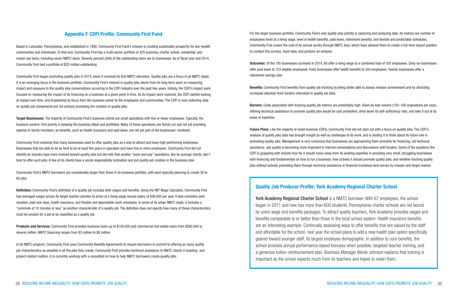For the larger business portfolio, Community First's only quality jobs activity is capturing and analyzing data. Its metrics are number of employees hired at a living wage, level of health benefits, paid leave, retirement benefits, and flexible and predictable schedules. Community First covers the cost of its annual survey through NMTC fees, which have allowed them to create a full-time impact position to conduct the surveys, input data, and produce an analysis.

Barriers: Costs associated with tracking quality job metrics are predictably high. Given its loan volume (150–160 originations per year), offering technical assistance to promote quality jobs would be cost prohibitive, drive down its self-sufficiency ratio, and take it out of its areas of expertise.

Outcomes: Of the 185 businesses surveyed in 2014, 68 offer a living wage to a combined total of 355 employees. Sixty-six businesses offer paid leave to 753 eligible employees. Forty businesses offer health benefits to 543 employees. Twenty businesses offer a retirement savings plan.

Benefits: Community First benefits from quality job tracking by being better able to assess mission achievement and by attracting increased attention from funders interested in quality job data.

Future Plans: Like the majority of small business CDFIs, Community First did not start out with a focus on quality jobs. The CDFI's analysis of quality jobs data has brought insight as well as challenges to its work, and is leading it to think about its future role in promoting quality jobs. Management is very conscious that businesses are approaching them primarily for financing, not technical assistance. Job quality is becoming more important in internal conversations and discussions with funders. Some of the questions the CDFI is grappling with include how far it should move away from its existing expertise in providing very small, struggling businesses with financing and fundamentals on how to run a business; how actively it should promote quality jobs; and whether tracking quality jobs without actively promoting them through technical assistance or financial incentives best serves its mission and target market.

Target Businesses: The majority of Community First's business clients are small operations with five or fewer employees. Typically, the business owners' first priority is keeping the business afloat and profitable. Many of these operations are family run and not yet providing salaries to family members, so benefits, such as health insurance and paid leave, are not yet part of the businesses' mindsets.

### Appendix F. CDFI Profile: Community First Fund

Based in Lancaster, Pennsylvania, and established in 1992, Community First Fund's mission is creating sustainable prosperity for low-wealth communities and individuals. To that end, Community First has a multi-sector portfolio of 425 business, charter school, residential, and mixed-use loans, including seven NMTC deals. Seventy percent (300) of the outstanding loans are to businesses. As of fiscal year end 2014, Community First had a portfolio of \$25 million outstanding.

Definition: Community First's definition of a quality job includes both wages and benefits. Using the MIT Wage Calculator, Community First has averaged wages across its target market counties to arrive at a living wage annual salary of \$36,000 per year. It also considers paid vacation, paid sick days, health insurance, and flexible and dependable work schedules. In some of its urban NMTC deals, it includes a "commute of 10 minutes or less" as another characteristic of a quality job. The definition does not specify how many of these characteristics must be present for a job to be classified as a quality job.

Community First began promoting quality jobs in 2013, when it received its first NMTC allocation. Quality jobs are a focus in all NMTC deals; it is an emerging focus in the business portfolio. Community First's interest in quality jobs stems from its long-term work on measuring impact and exposure to the quality jobs conversations occurring in the CDFI industry over the past two years. Initially, the CDFI's impact work focused on measuring the impact of its financing on a business at a given point in time. As its impact work matured, the CDFI started looking at impact over time, and broadening its focus from the business owner to the employees and communities. The CDFI is now collecting data on quality job components but not actively promoting the creation of quality jobs.

> York Academy Regional Charter School is a NMTC borrower. With 67 employees, the school began in 2011 and now has more than 600 students. Pennsylvania charter schools are not bound by union wage and benefits packages. To attract quality teachers, York Academy provides wages and benefits comparable to or better than those in the local school system. Health insurance benefits are an interesting example. Continually assessing ways to offer benefits that are valued by the staff and affordable for the school, next year the school plans to add a new health plan option specifically geared toward younger staff, its largest employee demographic. In addition to core benefits, the school provides annual performance-based bonuses when possible, targeted teacher training, and a generous tuition reimbursement plan. Business Manager Monik Johnson explains that training is important as the school expects much from its teachers and hopes to retain them.

Community First contends that many businesses want to offer quality jobs as a way to attract and keep high-performing employees. Businesses that are able to do so tend to be at least five years in operation and have five or more employees. Community First did not identify an industry type more inclined toward quality jobs but did note that smaller "mom and pop" operations, like its average clients, don't tend to offer such jobs. A few of its clients have a social responsibility inclination and put quality job creation in the business plan.

Community First's NMTC borrowers are considerably larger than those in its business portfolio, with each typically planning to create 30 to 60 jobs.

Products and Services: Community First provides business loans up to \$150,000 and commercial real estate loans from \$260,000 to several million. NMTC financing ranges from \$3 million to \$8 million.

In its NMTC program, Community First uses Community Benefits Agreements to require borrowers to commit to offering as many quality job characteristics as possible in all the jobs they create. Community First provides technical assistance to NMTC clients in building- and project-related matters. It is currently working with a consultant on how to help NMTC borrowers create quality jobs.

### Quality Job Producer Profile: York Academy Regional Charter School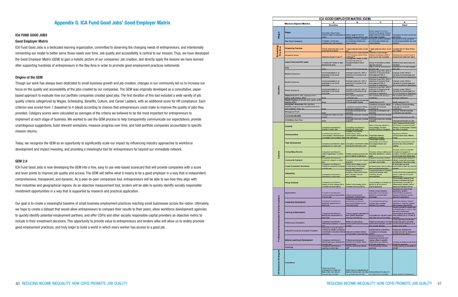### Appendix G. ICA Fund Good Jobs' Good Employer Matrix

#### ICA FUND GOOD JOBS

#### Good Employer Matrix

ICA Fund Good Jobs is a dedicated learning organization, committed to observing the changing needs of entrepreneurs, and intentionally reinventing our model to better serve those needs over time. Job quality and accessibility is central to our mission. Thus, we have developed the Good Employer Matrix (GEM) to gain a holistic picture of our companies' job creation, and directly apply the lessons we have learned after supporting hundreds of entrepreneurs in the Bay Area in order to promote good employment practices nationwide.

#### Origins of the GEM

Though our work has always been dedicated to small business growth and job creation, changes in our community led us to increase our focus on the quality and accessibility of the jobs created by our companies. The GEM was originally developed as a consultative, paperbased approach to evaluate how our portfolio companies created good jobs. The first iteration of this tool included a wide variety of job quality criteria categorized by Wages, Scheduling, Benefits, Culture, and Career Ladders, with an additional score for HR compliance. Each criterion was scored from 1 (baseline) to 4 (ideal) according to choices that entrepreneurs could make to improve the quality of jobs they provided. Category scores were calculated as averages of the criteria we believed to be the most important for entrepreneurs to implement at each stage of business. We wanted to use the GEM process to help transparently communicate our expectations, provide unambiguous suggestions, build relevant workplans, measure progress over time, and hold portfolio companies accountable to specific mission returns.

Today, we recognize the GEM as an opportunity to significantly scale our impact by influencing industry approaches to workforce development and impact investing, and providing a meaningful tool for entrepreneurs far beyond our immediate network.

#### GEM 2.0

ICA Fund Good Jobs is now developing the GEM into a free, easy to use web-based scorecard that will provide companies with a score and lever points to improve job quality and access. The GEM will define what it means to be a good employer in a way that is independent, comprehensive, transparent, and dynamic. As a peer-to-peer comparison tool, entrepreneurs will be able to see how they align with their industries and geographical regions. As an objective measurement tool, lenders will be able to quickly identify socially responsible investment opportunities in a way that is supported by research and practical application.

Our goal is to create a meaningful baseline of small business employment practices reaching small businesses across the nation. Ultimately, we hope to create a dataset that would allow entrepreneurs to compare their results to their peers, allow workforce development agencies to quickly identify potential employment partners, and offer CDFIs and other socially responsible capital providers an objective metric to include in their investment decisions. This opportunity to provide value to entrepreneurs and lenders alike will allow us to widely promote good employment practices, and truly begin to build a world in which every worker has access to a good job.

|                                           |                                                                                 | ICA GOOD EMPLOYER MATRIX (GEM)                                                                                                         |                                                                                                                   |                                                                                                                           |                                                                                                                                                                                  |
|-------------------------------------------|---------------------------------------------------------------------------------|----------------------------------------------------------------------------------------------------------------------------------------|-------------------------------------------------------------------------------------------------------------------|---------------------------------------------------------------------------------------------------------------------------|----------------------------------------------------------------------------------------------------------------------------------------------------------------------------------|
|                                           | <b>Mission-Aligned Metrics</b>                                                  | A<br><b>Baseline</b>                                                                                                                   | в                                                                                                                 | c                                                                                                                         | Е<br>Ideal                                                                                                                                                                       |
|                                           |                                                                                 |                                                                                                                                        |                                                                                                                   |                                                                                                                           |                                                                                                                                                                                  |
| Wages                                     | Wages                                                                           | Employees make at least<br>minimum wage; all employees on<br><b>Bound</b>                                                              | Median wage for front line<br>vorkers is above minimum age.                                                       | Median wage for front-line<br>workers is X% above minimum<br>wage; financial models project<br>dure wage increases        | Employees only work one job and<br>are thriving                                                                                                                                  |
|                                           | Pay Cycle Frequency                                                             | Consistent, on time and<br>sublished pay cycle schedule                                                                                | Consistent, on time, published,<br>and employee centered pay<br>syde schedule                                     | Consistent, on time, published,<br>and employee contened pay<br>yde schedule                                              | Consistent, on time, published,<br>ind employee centered pay cycle<br>hadula                                                                                                     |
| <b>Scheduling</b><br><b>Practices</b>     | <b>Scheduling Practices</b>                                                     | Follows scheduling laws; posts<br>solidates at vehicles                                                                                | I week schedule notice; on call<br><b>Day</b><br>Additional hours made available                                  | week schedule notice; on call<br>lexibility in shift changes                                                              | Complex with SF Retail Worker<br>Ill of Rights                                                                                                                                   |
|                                           | <b>Access to Hours</b>                                                          | Schedule Includes FT and PT                                                                                                            | to PT employees before hiring<br>additional PT<br>LOTCHER WIT FRONTS & DO                                         | between employees; ability to<br>work hours in lieu if possible                                                           | Employee has access to type of<br>chedule that meets their needs                                                                                                                 |
|                                           | <b>Leave &amp; Accrued Sick Leave</b>                                           | Complies with Federal & State<br>severeick day laws                                                                                    | leave/sick day laws; all<br>managers trained in leave<br>policies                                                 | Accruel of sick leave at higher<br>bettgen nad dan<br>Offer of PTO by hourly accruel                                      | dditional paid parent leave and<br>ick leave<br><b>Schedule for PTO that increases</b>                                                                                           |
|                                           | PTO                                                                             | <b>Months</b>                                                                                                                          | Offer of PTO by hourly a                                                                                          | at higher rate.                                                                                                           | officiales                                                                                                                                                                       |
|                                           | <b>Medical Insurance</b>                                                        | Insurance available to no<br>employees or only some<br>arployees                                                                       | Employer covers 0% - 50% of<br>premiums of insurance for all<br>seevolome                                         | Employer covers 50% - 80% of<br>premiums of insurance for all<br>employees and 50% of<br>naurance for depardents          | Employer covers 100% of<br>bna seeyoloma lis to increment<br>10% of Insurance for dependents                                                                                     |
|                                           | <b>Dental Insurance</b>                                                         | Insurance available to no<br>employees or only some<br>employees                                                                       | Employer covers 0% - 50% of<br>premiums of insurance for all<br>seevolome                                         | Employer covers SD% - 80% of<br>Ils to example to smulter<br>employees and 50% of<br>nsurance for dependents              | Employer covers 100% of<br>nsurance for all employees and<br>0% of insurance for dependents                                                                                      |
| Benefit                                   | <b>Vision Insurance</b>                                                         | haurance available to no<br>employees or only some<br><b>TEICYBER</b>                                                                  | Employer covers 0% - 50% of<br>premiums of insurance for all<br>smokoyees                                         | Employer covers 50% - 80% of<br>premiums of insurance for all<br>employees and 50% of<br>nsurance for dependents          | <b>Employer covers 100% of</b><br>bna seevolgma lis ad engineer<br>10% of Insurance for dependents                                                                               |
|                                           | Retirement (401K, IRA, employee stock                                           |                                                                                                                                        | Plan available, employee                                                                                          | Plan available with employer                                                                                              | Fian available with increased                                                                                                                                                    |
|                                           | option, profit sharing, other)<br>Wealth Sharing (employee stock option, profit | <b>None</b>                                                                                                                            | ontribution only<br>Financial modeling includes plan                                                              | metuden                                                                                                                   | reloyer contribution                                                                                                                                                             |
|                                           | sharing, other)<br>Additional Insurances (ife, long-term                        | <b>None</b>                                                                                                                            | or future wealth sharing                                                                                          | Wealth sharing of X%                                                                                                      | Weelth sharing of X+%                                                                                                                                                            |
|                                           | disability, long-term care, supplemental short-                                 |                                                                                                                                        | 1 additional insurances offered,                                                                                  | 2 additional insurances offered,<br>employee and employer                                                                 | 3+ additional insurance offered,<br>mployee and employer                                                                                                                         |
|                                           | term disability, FSAs, etc.)                                                    | Nore                                                                                                                                   | employee contribution only<br>Employee contributes \$X per                                                        | contributions<br>Employee contributes \$X per                                                                             | snotudning<br>Employer matches employee                                                                                                                                          |
|                                           | <b>Emergency Fund</b>                                                           | Norw<br>Compiles with Stelle commuter                                                                                                  | paycheck<br>Employees Inked with chylidab                                                                         | aycheck<br>Employees linked with city/state                                                                               | references per paycheck                                                                                                                                                          |
|                                           | <b>Commuter Benefits</b>                                                        | arefts                                                                                                                                 | ргодлата                                                                                                          | rograms                                                                                                                   | Imployee reimbursed up to \$X                                                                                                                                                    |
|                                           | <b>Child/Elder Care Plan</b>                                                    | Norw                                                                                                                                   | Employees linked with city/state<br>smangrams                                                                     | Employees linked with city/state<br>smetgraphy                                                                            | X2 of qu basudriles esvolge                                                                                                                                                      |
|                                           |                                                                                 |                                                                                                                                        |                                                                                                                   | Signs of diversity reflected in                                                                                           | lighly diverse worldorce across<br>he business; Provides diversity                                                                                                               |
|                                           | <b>Diversity</b>                                                                | Conceptual commitment to<br><b>Iversity</b> no action plan                                                                             | Conceptual commitment to<br>(iversity with action plan<br>Engages in educational                                  | hiring strategy; Provides<br>liversity training to managers                                                               | raining to all employees; Diversity<br>bey value of business                                                                                                                     |
|                                           | Communication                                                                   | Conceptual commitment to<br>communication; informal and/or<br>nconsistent communication style                                          | opportunities to learn<br>communication techniques that<br>sbeen flats teen                                       | <b>Schoduled meetings;</b><br>Inefliciently managed<br>Provide team building                                              | Regular and effective<br>ommunication using different<br><b>nodes</b>                                                                                                            |
|                                           | <b>Team Development</b>                                                         | Conceptual commitment to team<br>sevelopment no action plan                                                                            | Conceptual commitment to team<br>fevelopment with action plan.                                                    | opportunities and events to<br>encourage consiston and<br><b>Industrity</b>                                               | Teams are empowered to make<br>decisions and solve problems<br><b>natingo</b>                                                                                                    |
| Culture                                   | <b>Culture Magnification</b>                                                    | Conceptual commitment to<br>culture magnification no action<br>sian                                                                    | Positive company culture is felt,<br>at benefier to bentleb to tud                                                | Company culture is defined and<br>frequently referred to in verious<br>ways                                               | Company culture is magnified<br>throughout all aspects of<br>ompany; Company culture is over<br>with better braincrement                                                         |
|                                           | <b>Community Outreach</b>                                                       | Conceptual commitment to<br>community outreach no action                                                                               | Occasional community outneach                                                                                     | request community outreach<br>programs; support employees in                                                              | Community outreach protocol is<br>ferried, shared with employees,                                                                                                                |
|                                           | <b>Create Empathetic Workplace</b>                                              | sian<br>Conceptual commitment to<br>creating an empathetic workplace                                                                   | <b>DECADEMENT</b><br>Owners demonstrate concern<br>for well-being of employees                                    | rolunteer opportunities<br>All leaders given opportunities to                                                             | and reflected in financial models<br>All employees are given<br>opportunities to learn and practice                                                                              |
|                                           | Onboarding                                                                      | o action plan<br>Conceptual commitment to                                                                                              | hrough delly interactions.<br>Informal Introduction to<br>ompany, mission/vision/value,<br>learn members, and job | earn and practice empethy<br>Formal Introduction to company<br>mission/vision/value, team<br>members, and job             | cornal introduction supervised by<br>where or pear with structured                                                                                                               |
|                                           | <b>Hiring Practices</b>                                                         | onboarding no action plan<br>Conceptual commitment to<br>creating a hiring strategy that is<br>consistent across positions             | responsibilities<br>Defined hiring strategy that is<br>consistent across positions                                | responsibilities<br>Hiring strategy is consistent but<br>ballored to be inclusive of<br>diverse applicants                | eedback loop<br>ting shalegy designed to be<br>studye of diverse individuals<br>who are likely to succeed by<br>differentiating between natural<br>tes like eidenwird bms strale |
|                                           |                                                                                 |                                                                                                                                        |                                                                                                                   |                                                                                                                           | Structured and unstructured                                                                                                                                                      |
|                                           | <b>Appreciation</b>                                                             | Conceptual commitment to<br>providing employee appreciation<br>to action plan                                                          | Owners model sporadic<br>(ppreciation (wirbsi/written)                                                            | Owners model consistent<br>appreciation and empower<br>eaders to recognize their<br><b>SERVICES</b>                       | appreciation systems<br>verbal/written) recognizing<br>diverse contributions and are<br>aptured in evaluations                                                                   |
|                                           |                                                                                 | Conceptual commitment to                                                                                                               | Owners provide focused<br>professional development                                                                | Formal leadership training                                                                                                | Leadership regularly receives                                                                                                                                                    |
|                                           | <b>Leadership Development</b>                                                   | lasdership development no<br>edion plan                                                                                                | resources for leaders (books,<br>(septuoset enfino                                                                | program with consistent<br>feedback from owners                                                                           | mentoring or coaching matched<br>with increased responsibility<br>Owners consistently assess team                                                                                |
| Professional Development & Career Ladders | <b>Learning &amp; Development</b>                                               | Conceptual commitment to<br>on trempleved bns primari<br>etton plan                                                                    | Training programs developed for<br>sach specific department<br>aduding cross-training                             | Employees who request to learn<br>between mozon and allow were                                                            | and identify beard in order to other<br>learning & development<br>opportunities to employees who<br>show potential but do not ask for<br>aw skills                               |
|                                           | <b>Performance Evaluation</b>                                                   | Conceptual commitment to                                                                                                               | Written job descriptions:<br>parlomance evaluation no action informal performance evaluation                      | Written job descriptions & formal                                                                                         | Formal performance evaluation<br>process with goal of providing<br>performance evaluation process. transformational feedback (to be                                              |
|                                           | Internal Promotions & Lateral Transfers                                         | <b>Employees moving throughout</b><br>company as needed; conceptual<br>commitment to structured internal Clear and consistent internal | <b>TOCHRAN</b>                                                                                                    | with hyp-www feedback<br>Leaders trained in identifying<br>competence in emerging                                         | since in its lineshe<br><b>Training and development</b><br>provided and paid by employer to                                                                                      |
|                                           | External Learning & Development                                                 | snotherne<br>Conceptual commitment to<br>external learning & development                                                               | communication of job openings<br>Professional development<br>seminars and classes offered                         | leaders<br>Tallored professional<br>development seminars and<br>classes offered to specific<br>departments and reflecting | stabeligneras golavst<br>Company provides annual training                                                                                                                        |
|                                           |                                                                                 | to action plan<br>Conceptual commitment to                                                                                             | mpany-wide<br>Informal coaching by Internal                                                                       | sconstates anoion<br>Formal coaching provided                                                                             | sevolome 182 biobu<br>ornal coaching as requested for                                                                                                                            |
|                                           | Coaching                                                                        | cashing no action plan                                                                                                                 | <b>bell</b>                                                                                                       | externally                                                                                                                | Yatz Is                                                                                                                                                                          |
| 8<br><b>HR Business Strategi</b>          | Compliance                                                                      | Owner has minimal<br>understanding of state and                                                                                        | Owner has full understanding of                                                                                   |                                                                                                                           |                                                                                                                                                                                  |
|                                           |                                                                                 | federal laws, but does not<br>currently have HR staff                                                                                  | state and federal laws, but does<br>hot currently have HR staff                                                   | Owner utilizes third party HR<br>consultant and is compliant                                                              | Denis creates HR department                                                                                                                                                      |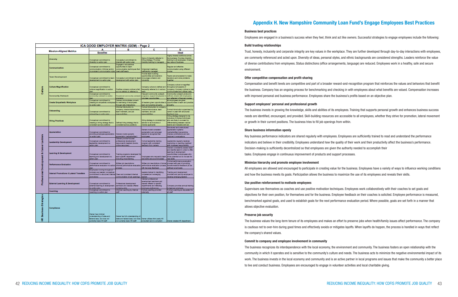| ICA GOOD EMPLOYER MATRIX (GEM) - Page 2      |                                                    |                                                                                                                                                      |                                                                                                                                   |                                                                                                                                               |                                                                                                                                                                                           |  |
|----------------------------------------------|----------------------------------------------------|------------------------------------------------------------------------------------------------------------------------------------------------------|-----------------------------------------------------------------------------------------------------------------------------------|-----------------------------------------------------------------------------------------------------------------------------------------------|-------------------------------------------------------------------------------------------------------------------------------------------------------------------------------------------|--|
|                                              | <b>Mission-Aligned Metrics</b>                     |                                                                                                                                                      |                                                                                                                                   | с                                                                                                                                             | Е                                                                                                                                                                                         |  |
|                                              |                                                    | <b>Baseline</b>                                                                                                                                      |                                                                                                                                   |                                                                                                                                               | Ideal                                                                                                                                                                                     |  |
|                                              | <b>Diversity</b>                                   | Conceptual commitment to<br>diversity no action plan                                                                                                 | Conceptual commitment to<br><b>Iversity with action plan</b>                                                                      | Signs of diversity reflected in<br>hiring strategy; Provides<br>diversity training to managers                                                | Highly diverse worldorce across<br>the business; Provides diversity<br>training to all employees; Diversity<br>tey value of business                                                      |  |
|                                              | Communication                                      | Conceptual commitment to<br>communication; informal and/or<br>hconsistent communication style                                                        | Engages in educational<br>neel of settingonous<br>communication techniques that<br>stown flats tases                              | <b>Scheduled meetings;</b><br>hefficiently managed                                                                                            | Regular and effective<br>communication using different<br>sodes:                                                                                                                          |  |
|                                              | <b>Team Development</b>                            | Conceptual commitment to team<br>development no action plan                                                                                          | Conceptual commitment to team<br>levelopment with action plan.                                                                    | Provide team building<br>opportunities and events to<br>encourage cohesion and<br>ndustylty                                                   | warm are empowered to make<br>lecklons and solve problems<br>ogether                                                                                                                      |  |
| Culture                                      | <b>Culture Magnification</b>                       | Conceptual commitment to<br>culture magnification no action<br>dian                                                                                  | Positive company culture is felt,<br>but not defined or referred to                                                               | Company culture is defined and<br>frequently referred to in various<br>ways                                                                   | Company culture is magnified<br>throughout all aspects of<br>company; Company culture is over<br>mmunicated and utilized daily                                                            |  |
|                                              | <b>Community Outreach</b>                          | Conceptual commitment to<br>community outreach no action                                                                                             | Occasional community outneeds<br><b>FOGERATIO</b>                                                                                 | request community outreach<br>programs; support employees in<br>sellingtvoger textinities                                                     | Community outreach protocol is<br>defined, shared with employees,<br>and reflected in financial models                                                                                    |  |
|                                              | <b>Create Empathetic Workplace</b>                 | Conceptual commitment to<br>creating an empathetic workplace<br>no action plan                                                                       | Owners demonstrate concern<br>for well-being of employees<br>through daily interactions                                           | All leaders given opportunities to<br>learn and practice empethy                                                                              | All employees are given<br>opportunities to learn and practice<br><b>Impethy</b>                                                                                                          |  |
|                                              | Onboarding                                         | Conceptual commitment to<br>inboarding no action plan                                                                                                | Informal Introduction to<br>company, mission/vision/value,<br>learn members, and job<br>ssponsbiltles                             | Formal Introduction to company<br>mission/vision/value, team<br>members, and job<br>responsibilities                                          | Formal Introduction supervised by<br>wher or peer with structured<br>edback loop                                                                                                          |  |
|                                              | <b>Hiring Practices</b>                            | Conceptual commitment to<br>creating a hiring strategy that is<br>consistent across positions                                                        | Defined hiring strategy that is<br>consistent across positions                                                                    | firing strategy is consistent but<br>believed to be inclusive of<br>diverse applicants                                                        | Hiring strategy designed to be<br>ndusive of diverse individuals<br>who are likely to succesd by<br>differentiating between natural<br>tes liks elderled bns shorled                      |  |
| & Career Ladders<br>opment<br>essional Devel | <b>Appreciation</b>                                | Conceptual commitment to<br>providing employee appreciation<br>no action plan                                                                        | Owners model sporadic<br>ppreciation (verbal/written)                                                                             | Owners model consistent<br>appreciation and empower<br>leaders to recognize their<br><b>strployees</b>                                        | Structured and unstructured<br>appreciation systems<br>werbal/written) recognizing<br>Ilverse contributions and are<br>aptured in evaluations                                             |  |
|                                              | <b>Leadership Development</b>                      | Conceptual commitment to<br>an thermologies girlsen<br>action plan                                                                                   | Owners provide focused<br>tremplant landsplant<br>resources for leaders (books,<br>(scources) include                             | Formal leadership training<br>arogram with consistent<br>eedback from owners                                                                  | Leadership regularly receives<br>heritaring or coaching matched<br>vilh increased responsibility                                                                                          |  |
|                                              | <b>Learning &amp; Davelopment</b>                  | Conceptual commitment to<br>barring and development no<br>etton plan                                                                                 | Training programs developed for<br>sach specific department<br>nduding cross-training                                             | Employees who request to learn<br>hew skills are accommodated                                                                                 | Owners consistently assess team<br>and identify beent in order to over<br>saming & development<br>ofw sexyolone of settlnutrogo<br>show potential but do not ask for<br><b>Low skills</b> |  |
|                                              | <b>Performance Evaluation</b>                      | Conceptual commitment to<br>parlamence evaluation no action<br>dan                                                                                   | Witten job descriptions;<br>Informal performance evaluation<br><b>STOCKARS</b>                                                    | Written job descriptions & formal<br>performance evaluation process.<br>with two-way feedback.                                                | Formal performance evaluation<br>process with goal of providing<br>transformational feedback (ib be<br>sievel la ta (benhe)                                                               |  |
|                                              | <b>Internal Promotions &amp; Lateral Transfers</b> | <b>Employees moving throughout</b><br>company as needed; conceptual<br>commitment to structured internal Clear and consistent internal<br>aromotions | springe do(1) nothermon                                                                                                           | Leaders trained in identifying<br>competence in emerging<br><b>Inscherz</b>                                                                   | Training and development<br>rovided and paid by employer to<br>levelop emerging leaders                                                                                                   |  |
|                                              | <b>External Learning &amp; Development</b>         | Conceptual commitment to<br>sciental learning & development<br>to action plan                                                                        | Professional development<br>eminers and classes offered<br>ompany-wide                                                            | <b>Tailored professional</b><br>development seminars and<br>classes offered to specific<br>departments and reflecting<br>smployes preferences | Company provides annual training<br>dget per employee                                                                                                                                     |  |
|                                              | Coaching                                           | Conceptual commitment to<br>coaching no action plan                                                                                                  | Informal coaching by Internal<br><b>Made</b>                                                                                      | Formal coaching provided<br>externally                                                                                                        | Formal coaching as requested for<br><b>Tads</b> la                                                                                                                                        |  |
| Business Strategies<br>ø                     | Compliance                                         | Owner has minimal<br>understanding of state and<br>federal laws, but does not<br><b>Made State accept officers</b>                                   | Owner has full understanding of<br>state and federal laws, but does Owner utilizes third party HR<br>Webs 504 power of company to | traditions of brat teathers                                                                                                                   | <b>Survey creates HR department</b>                                                                                                                                                       |  |

### Appendix H. New Hampshire Community Loan Fund's Engage Employees Best Practices

#### Business best practices

Employees are engaged in a business's success when they feel, think and act like owners. Successful strategies to engage employees include the following:

#### Build trusting relationships

Trust, honesty, inclusivity and corporate integrity are key values in the workplace. They are further developed through day-to-day interactions with employees, are commonly referenced and acted upon. Diversity of ideas, personal styles, and ethnic backgrounds are considered strengths. Leaders reinforce the value of diverse contributions from employees. Status distinctions (office arrangements, language) are reduced. Employees work in a healthy, safe and secure environment.

#### Offer competitive compensation and profit-sharing

Compensation and benefit levels are competitive and part of a broader reward-and-recognition program that reinforces the values and behaviors that benefit the business. Company has an ongoing process for benchmarking and checking in with employees about what benefits are valued. Compensation increases with improved personal and business performance. Employees share the business's profits based on an objective plan.

#### Support employees' personal and professional growth

The business invests in growing the knowledge, skills and abilities of its employees. Training that supports personal growth and enhances business success needs are identified, encouraged, and provided. Skill-building resources are accessible to all employees, whether they strive for promotion, lateral movement or growth in their current positions. The business tries to fill job openings from within.

#### Share business information openly

Key business performance indicators are shared regularly with employees. Employees are sufficiently trained to read and understand the performance indicators and believe in their credibility. Employees understand how the quality of their work and their productivity affect the business's performance. Decision-making is sufficiently decentralized so that employees are given the authority needed to accomplish their tasks. Employees engage in continuous improvement of products and support processes.

#### Minimize hierarchy and promote employee involvement

All employees are allowed and encouraged to participate in creating value for the business. Employees have a variety of ways to influence working conditions and how the business meets its goals. Participation allows the business to maximize the use of its employees and reveals their skills.

#### Use positive reinforcement to motivate employees

Supervisors see themselves as coaches and use positive motivation techniques. Employees work collaboratively with their coaches to set goals and objectives for their own position, for themselves and for the business. Employee feedback on their coaches is solicited. Employee performance is measured, benchmarked against goals, and used to establish goals for the next performance evaluation period. Where possible, goals are set forth in a manner that allows objective evaluation.

#### Preserve job security

The business values the long-term tenure of its employees and makes an effort to preserve jobs when health/family issues affect performance. The company is cautious not to over-hire during good times and effectively avoids or mitigates layoffs. When layoffs do happen, the process is handled in ways that reflect the company's shared values.

#### Commit to company and employee involvement in community

The business recognizes its interdependence with the local economy, the environment and community. The business fosters an open relationship with the community in which it operates and is sensitive to the community's culture and needs. The business acts to minimize the negative environmental impact of its work. The business invests in the local economy and community and is an active partner in local programs and issues that make the community a better place to live and conduct business. Employees are encouraged to engage in volunteer activities and local charitable giving.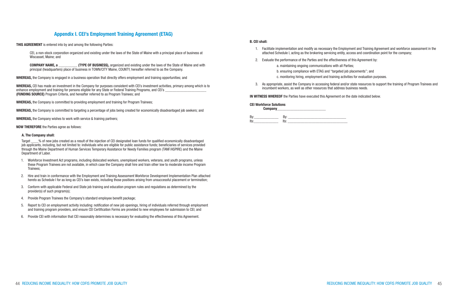- 
- 
- 

### Appendix I. CEI's Employment Training Agreement (ETAG)

THIS AGREEMENT is entered into by and among the following Parties:

**COMPANY NAME, a** *COMPANY NAME***, a** *COMPANY NAME, a**COMPANY NAME, a**COMPANY NAME, a* principal (headquarters) place of business in TOWN/CITY Maine, COUNTY, hereafter referred to as the Company.

WHEREAS, the Company is engaged in a business operation that directly offers employment and training opportunities; and

 CEI, a non-stock corporation organized and existing under the laws of the State of Maine with a principal place of business at Wiscasset, Maine; and

WHEREAS, CEI has made an investment in the Company for purposes consistent with CEI's investment activities, primary among which is to enhance employment and training for persons eligible for any State or Federal Training Programs, and CEI's (FUNDING SOURCE) Program Criteria, and hereafter referred to as Program Trainees; and

Target % of new jobs created as a result of the injection of CEI designated loan funds for qualified economically disadvantaged job applicants, including, but not limited to: individuals who are eligible for public assistance funds; beneficiaries of services provided through the Maine Department of Human Services Temporary Assistance for Needy Families program (TANF/ASPIRE) and the Maine Department of Labor.

WHEREAS, the Company is committed to providing employment and training for Program Trainees;

WHEREAS, the Company is committed to targeting a percentage of jobs being created for economically disadvantaged job seekers; and

WHEREAS, the Company wishes to work with service & training partners;

NOW THEREFORE the Parties agree as follows:

#### A. The Company shall:

- 1. Workforce Investment Act programs, including dislocated workers, unemployed workers, veterans, and youth programs, unless these Program Trainees are not available, in which case the Company shall hire and train other low to moderate income Program Trainees;
- 2. Hire and train in conformance with the Employment and Training Assessment Workforce Development Implementation Plan attached hereto as Schedule I for as long as CEI's loan exists, including those positions arising from unsuccessful placement or termination;
- 3. Conform with applicable Federal and State job training and education program rules and regulations as determined by the provider(s) of such program(s);
- 4. Provide Program Trainees the Company's standard employee benefit package;
- 5. Report to CEI on employment activity including: notification of new job openings, hiring of individuals referred through employment and training program providers, and ensure CEI Certification Forms are provided to new employees for submission to CEI; and
- 6. Provide CEI with information that CEI reasonably determines is necessary for evaluating the effectiveness of this Agreement.

#### B. CEI shall:

- 1. Facilitate implementation and modify as necessary the Employment and Training Agreement and workforce assessment in the attached Schedule I, acting as the brokering servicing entity, access and coordination point for the company;
- 2. Evaluate the performance of the Parties and the effectiveness of this Agreement by:
	- a. maintaining ongoing communications with all Parties;
	- b. ensuring compliance with ETAG and "targeted job placements"; and
	- c. monitoring hiring, employment and training activities for evaluation purposes.
- 3. As appropriate, assist the Company in accessing federal and/or state resources to support the training of Program Trainees and incumbent workers, as well as other resources that address business needs.

#### IN WITNESS WHEREOF the Parties have executed this Agreement on the date indicated below.

#### CEI Workforce Solutions Company\_\_\_\_\_ By:\_\_\_\_\_\_\_\_\_\_\_\_\_ By: \_\_\_\_\_\_\_\_\_\_\_\_\_\_\_\_\_\_\_\_\_\_\_\_\_\_\_\_\_\_\_ Its:\_\_\_\_\_\_\_\_\_\_\_\_\_ Its: \_\_\_\_\_\_\_\_\_\_\_\_\_\_\_\_\_\_\_\_\_\_\_\_\_\_\_\_\_\_\_\_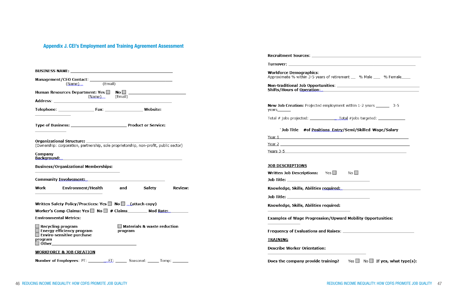### Appendix J. CEI's Employment and Training Agreement Assessment

| <b>BUSINESS NAME:</b> New York Strategies and Strategies and Strategies and Strategies and Strategies and Strategies and Strategies and Strategies and Strategies and Strategies and Strategies and Strategies and Strategies and S                                                                         | <b>Workforce Demographics:</b><br>Approximate % within 3-5 years of retirement __ % Male ___ % Female___                                                                                                                                                                                                                                                                                                                                                             |
|-------------------------------------------------------------------------------------------------------------------------------------------------------------------------------------------------------------------------------------------------------------------------------------------------------------|----------------------------------------------------------------------------------------------------------------------------------------------------------------------------------------------------------------------------------------------------------------------------------------------------------------------------------------------------------------------------------------------------------------------------------------------------------------------|
| (Email)<br>(Name)                                                                                                                                                                                                                                                                                           |                                                                                                                                                                                                                                                                                                                                                                                                                                                                      |
| Human Resources Department: $Yes \Box \t No \Box \t  \t  \t  \t $<br>(Email)<br>(Name)<br>Address: Andreas Address:                                                                                                                                                                                         |                                                                                                                                                                                                                                                                                                                                                                                                                                                                      |
| <b>Website:</b>                                                                                                                                                                                                                                                                                             | <b>New Job Creation:</b> Projected employment within 1-2 years _______ 3-5<br>years_______                                                                                                                                                                                                                                                                                                                                                                           |
|                                                                                                                                                                                                                                                                                                             | Total # jobs projected: $\frac{1}{2}$ = $\frac{1}{2}$ = $\frac{1}{2}$ = $\frac{1}{2}$ = $\frac{1}{2}$ = $\frac{1}{2}$ = $\frac{1}{2}$ = $\frac{1}{2}$ = $\frac{1}{2}$ = $\frac{1}{2}$ = $\frac{1}{2}$ = $\frac{1}{2}$ = $\frac{1}{2}$ = $\frac{1}{2}$ = $\frac{1}{2}$ = $\frac{1}{2}$ = $\frac{1$                                                                                                                                                                    |
|                                                                                                                                                                                                                                                                                                             | `Job Title #of Positions Entry/Semi/Skilled Wage/Salary                                                                                                                                                                                                                                                                                                                                                                                                              |
| (Ownership: corporation, partnership, sole proprietorship, non-profit, public sector)<br>Company                                                                                                                                                                                                            | <u>Year 1</u> and 1 and 2 and 2 and 2 and 2 and 2 and 2 and 2 and 2 and 2 and 2 and 2 and 2 and 2 and 2 and 2 and 2 and 2 and 2 and 2 and 2 and 2 and 2 and 2 and 2 and 2 and 2 and 2 and 2 and 2 and 2 and 2 and 2 and 2 and 2 and<br>Years 3-5 and the state of the state of the state of the state of the state of the state of the state of the state of the state of the state of the state of the state of the state of the state of the state of the state of |
| Background:<br><b>Business/Organizational Memberships:</b>                                                                                                                                                                                                                                                  | <b>JOB DESCRIPTIONS</b><br>No $\square$<br><b>Written Job Descriptions:</b> Yes $\Box$                                                                                                                                                                                                                                                                                                                                                                               |
| Environment/Health<br>Work<br>and<br>Safety<br><b>Review:</b>                                                                                                                                                                                                                                               | Knowledge, Skills, Abilities required                                                                                                                                                                                                                                                                                                                                                                                                                                |
|                                                                                                                                                                                                                                                                                                             |                                                                                                                                                                                                                                                                                                                                                                                                                                                                      |
| Written Safety Policy/Practices: Yes $\Box$ No $\Box$ (attach copy)<br>Worker's Comp Claims: Yes $\Box$ No $\Box$ # Claims<br>Mod Rate:                                                                                                                                                                     | Knowledge, Skills, Abilities required:                                                                                                                                                                                                                                                                                                                                                                                                                               |
| <b>Environmental Metrics:</b>                                                                                                                                                                                                                                                                               | <b>Examples of Wage Progression/Upward Mobility Opportunities:</b>                                                                                                                                                                                                                                                                                                                                                                                                   |
| $\Box$ Materials & waste reduction<br>$\Box$ Recycling program<br><b>Energy efficiency program</b><br>program<br>$\Box$ Enviro-sensitive purchase<br>program<br><u> 1980 - Jan Stein Stein Stein Stein Stein Stein Stein Stein Stein Stein Stein Stein Stein Stein Stein Stein S</u><br>$\Box$ Other $\Box$ | <b>TRAINING</b>                                                                                                                                                                                                                                                                                                                                                                                                                                                      |
| <b>WORKFORCE &amp; JOB CREATION</b>                                                                                                                                                                                                                                                                         | <b>Describe Worker Orientation:</b>                                                                                                                                                                                                                                                                                                                                                                                                                                  |
|                                                                                                                                                                                                                                                                                                             | Does the company provide training?<br>Yes $\Box$ No $\Box$ If yes, what type(s):                                                                                                                                                                                                                                                                                                                                                                                     |
|                                                                                                                                                                                                                                                                                                             |                                                                                                                                                                                                                                                                                                                                                                                                                                                                      |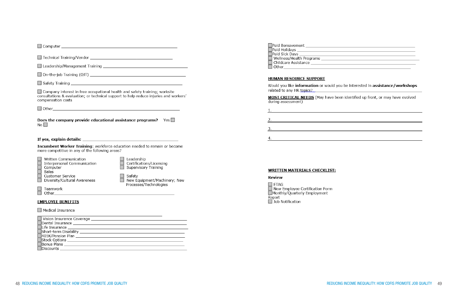| $\Box$ Technical Training/Vendor $\Box$                                                                                   |                                                                                       |
|---------------------------------------------------------------------------------------------------------------------------|---------------------------------------------------------------------------------------|
|                                                                                                                           |                                                                                       |
|                                                                                                                           |                                                                                       |
|                                                                                                                           |                                                                                       |
| $\Box$ Company interest in free occupational health and safety training; worksite<br>compensation costs                   | consultations & evaluation; or technical support to help reduce injuries and workers' |
|                                                                                                                           |                                                                                       |
| Does the company provide educational assistance programs?<br>No $\square$                                                 | Yes $\Box$                                                                            |
|                                                                                                                           |                                                                                       |
| more competitive in any of the following areas?                                                                           | Incumbent Worker Training: workforce education needed to remain or become             |
| Written Communication<br>Interpersonal Communication<br>Computer<br>Sales                                                 | Leadership<br>Certifications/Licensing<br>Supervisory Training                        |
| <b>Customer Service</b><br>Diversity/Cultural Awareness                                                                   | Safety<br>New Equipment/Machinery; New<br>Processes/Technologies                      |
| Teamwork<br>Other and the contract of the contract of the contract of the contract of the contract of the contract of the |                                                                                       |
| <b>EMPLOYEE BENEFITS</b>                                                                                                  |                                                                                       |
| Medical Insurance                                                                                                         |                                                                                       |
|                                                                                                                           |                                                                                       |
| Discounts ____________________                                                                                            |                                                                                       |

| lPaid Bereavement        |
|--------------------------|
| Paid Holidays            |
| Paid Sick Days           |
| Wellness/Health Programs |
| Childcare Assistance     |
| Other                    |

related to any HR topics?

| <b>MOST CRITICAL NEEDS</b> (May have b<br>during assessment) |
|--------------------------------------------------------------|
|                                                              |
| 2.                                                           |
| 3.                                                           |
|                                                              |

#### **WRITTEN MATERIALS CHECKLIST:**

#### **Review**

□ ETAG<br>□ New Employee Certification Form<br>□ Monthly/Quarterly Employment Report Job Notification

| 48 REDUCING INCOME INEQUALITY: HOW CDFIS PROMOTE JOB QUALITY |  |  |
|--------------------------------------------------------------|--|--|

### Would you like information or would you be interested in assistance/workshops

been identified up front, or may have evolved

REDUCING INCOME INEQUALITY: HOW CDFIS PROMOTE JOB QUALITY 49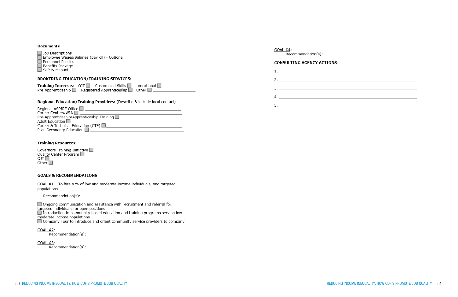| <b>Documents</b>                                                                                                                                                |                                                                                                                                                                                                                                |
|-----------------------------------------------------------------------------------------------------------------------------------------------------------------|--------------------------------------------------------------------------------------------------------------------------------------------------------------------------------------------------------------------------------|
| Job Descriptions                                                                                                                                                | GOAL #4:<br>Recommendation(s):                                                                                                                                                                                                 |
| Employee Wages/Salaries (payroll) - Optional<br>Personnel Policies<br>Benefits Package                                                                          | <b>CONSULTING AGENCY ACTIONS:</b>                                                                                                                                                                                              |
| Safety Manual                                                                                                                                                   | and the contract of the contract of the contract of the contract of the contract of the contract of the contract of the contract of the contract of the contract of the contract of the contract of the contract of the contra |
| <b>BROKERING EDUCATION/TRAINING SERVICES:</b>                                                                                                                   | 2. <u>_________________________</u>                                                                                                                                                                                            |
| Vocational $\square$<br><b>Training Interests:</b> $OJT$ Customized Skills $\Box$<br>Pre-Apprenticeship $\Box$ Registered Apprenticeship $\Box$<br>Other $\Box$ |                                                                                                                                                                                                                                |
|                                                                                                                                                                 |                                                                                                                                                                                                                                |
| <b>Regional Education/Training Providers:</b> (Describe & include local contact)                                                                                |                                                                                                                                                                                                                                |
|                                                                                                                                                                 |                                                                                                                                                                                                                                |
|                                                                                                                                                                 |                                                                                                                                                                                                                                |
| Adult Education <b>Designation Designation</b>                                                                                                                  |                                                                                                                                                                                                                                |
| Career & Technical Education (CTE) 22 22 22 22 22 22 22 22 23 24                                                                                                |                                                                                                                                                                                                                                |

# Governors Training Initiative □<br>Quality Center Program □<br>OIT □

**Training Resources:** 

Post-Secondary Education □

#### **GOALS & RECOMMENDATIONS**

GOAL #1 - To hire a % of low and moderate income individuals, and targeted populations

Recommendation(s):

Ongoing communication and assistance with recruitment and referral for<br>targeted individuals for open positions

Introduction to community based education and training programs serving lowmoderate income populations

□ Company Tour to introduce and orient community service providers to company

 $GOAL #2$ : Recommendation(s):

 $GOAL #3$ : Recommendation(s):